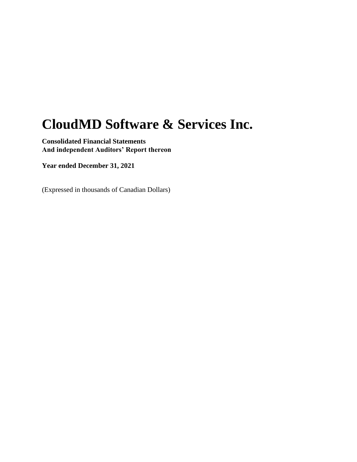# **CloudMD Software & Services Inc.**

**Consolidated Financial Statements And independent Auditors' Report thereon**

**Year ended December 31, 2021**

(Expressed in thousands of Canadian Dollars)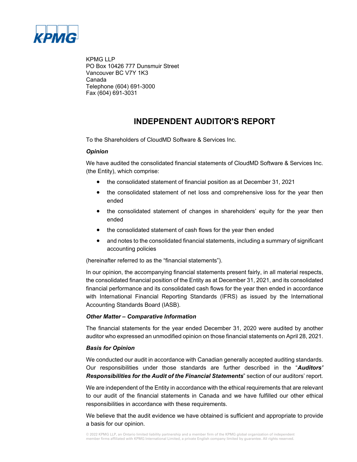

KPMG LLP PO Box 10426 777 Dunsmuir Street Vancouver BC V7Y 1K3 Canada Telephone (604) 691-3000 Fax (604) 691-3031

# **INDEPENDENT AUDITOR'S REPORT**

To the Shareholders of CloudMD Software & Services Inc.

## *Opinion*

We have audited the consolidated financial statements of CloudMD Software & Services Inc. (the Entity), which comprise:

- the consolidated statement of financial position as at December 31, 2021
- the consolidated statement of net loss and comprehensive loss for the year then ended
- the consolidated statement of changes in shareholders' equity for the year then ended
- the consolidated statement of cash flows for the year then ended
- and notes to the consolidated financial statements, including a summary of significant accounting policies

(hereinafter referred to as the "financial statements").

In our opinion, the accompanying financial statements present fairly, in all material respects, the consolidated financial position of the Entity as at December 31, 2021, and its consolidated financial performance and its consolidated cash flows for the year then ended in accordance with International Financial Reporting Standards (IFRS) as issued by the International Accounting Standards Board (IASB).

## *Other Matter – Comparative Information*

The financial statements for the year ended December 31, 2020 were audited by another auditor who expressed an unmodified opinion on those financial statements on April 28, 2021.

## *Basis for Opinion*

We conducted our audit in accordance with Canadian generally accepted auditing standards. Our responsibilities under those standards are further described in the "*Auditors' Responsibilities for the Audit of the Financial Statements*" section of our auditors' report.

We are independent of the Entity in accordance with the ethical requirements that are relevant to our audit of the financial statements in Canada and we have fulfilled our other ethical responsibilities in accordance with these requirements.

We believe that the audit evidence we have obtained is sufficient and appropriate to provide a basis for our opinion.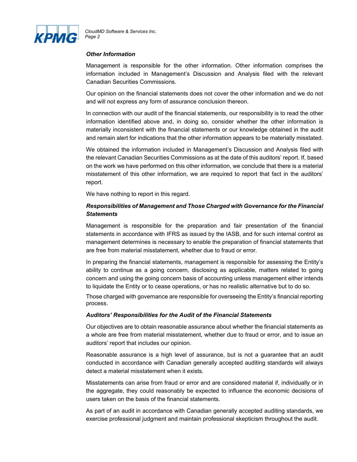

*CloudMD Software & Services Inc. Page 2* 

## *Other Information*

Management is responsible for the other information. Other information comprises the information included in Management's Discussion and Analysis filed with the relevant Canadian Securities Commissions.

Our opinion on the financial statements does not cover the other information and we do not and will not express any form of assurance conclusion thereon.

In connection with our audit of the financial statements, our responsibility is to read the other information identified above and, in doing so, consider whether the other information is materially inconsistent with the financial statements or our knowledge obtained in the audit and remain alert for indications that the other information appears to be materially misstated.

We obtained the information included in Management's Discussion and Analysis filed with the relevant Canadian Securities Commissions as at the date of this auditors' report. If, based on the work we have performed on this other information, we conclude that there is a material misstatement of this other information, we are required to report that fact in the auditors' report.

We have nothing to report in this regard.

## *Responsibilities of Management and Those Charged with Governance for the Financial Statements*

Management is responsible for the preparation and fair presentation of the financial statements in accordance with IFRS as issued by the IASB, and for such internal control as management determines is necessary to enable the preparation of financial statements that are free from material misstatement, whether due to fraud or error.

In preparing the financial statements, management is responsible for assessing the Entity's ability to continue as a going concern, disclosing as applicable, matters related to going concern and using the going concern basis of accounting unless management either intends to liquidate the Entity or to cease operations, or has no realistic alternative but to do so.

Those charged with governance are responsible for overseeing the Entity's financial reporting process.

## *Auditors' Responsibilities for the Audit of the Financial Statements*

Our objectives are to obtain reasonable assurance about whether the financial statements as a whole are free from material misstatement, whether due to fraud or error, and to issue an auditors' report that includes our opinion.

Reasonable assurance is a high level of assurance, but is not a guarantee that an audit conducted in accordance with Canadian generally accepted auditing standards will always detect a material misstatement when it exists.

Misstatements can arise from fraud or error and are considered material if, individually or in the aggregate, they could reasonably be expected to influence the economic decisions of users taken on the basis of the financial statements.

As part of an audit in accordance with Canadian generally accepted auditing standards, we exercise professional judgment and maintain professional skepticism throughout the audit.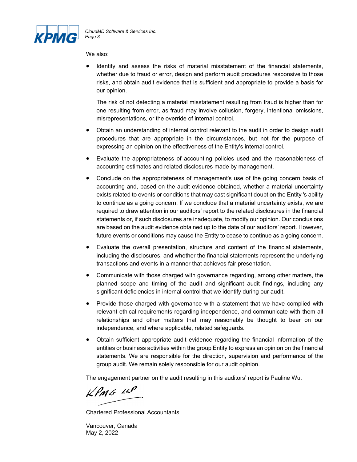

We also:

 Identify and assess the risks of material misstatement of the financial statements, whether due to fraud or error, design and perform audit procedures responsive to those risks, and obtain audit evidence that is sufficient and appropriate to provide a basis for our opinion.

The risk of not detecting a material misstatement resulting from fraud is higher than for one resulting from error, as fraud may involve collusion, forgery, intentional omissions, misrepresentations, or the override of internal control.

- Obtain an understanding of internal control relevant to the audit in order to design audit procedures that are appropriate in the circumstances, but not for the purpose of expressing an opinion on the effectiveness of the Entity's internal control.
- Evaluate the appropriateness of accounting policies used and the reasonableness of accounting estimates and related disclosures made by management.
- Conclude on the appropriateness of management's use of the going concern basis of accounting and, based on the audit evidence obtained, whether a material uncertainty exists related to events or conditions that may cast significant doubt on the Entity 's ability to continue as a going concern. If we conclude that a material uncertainty exists, we are required to draw attention in our auditors' report to the related disclosures in the financial statements or, if such disclosures are inadequate, to modify our opinion. Our conclusions are based on the audit evidence obtained up to the date of our auditors' report. However, future events or conditions may cause the Entity to cease to continue as a going concern.
- Evaluate the overall presentation, structure and content of the financial statements, including the disclosures, and whether the financial statements represent the underlying transactions and events in a manner that achieves fair presentation.
- Communicate with those charged with governance regarding, among other matters, the planned scope and timing of the audit and significant audit findings, including any significant deficiencies in internal control that we identify during our audit.
- Provide those charged with governance with a statement that we have complied with relevant ethical requirements regarding independence, and communicate with them all relationships and other matters that may reasonably be thought to bear on our independence, and where applicable, related safeguards.
- Obtain sufficient appropriate audit evidence regarding the financial information of the entities or business activities within the group Entity to express an opinion on the financial statements. We are responsible for the direction, supervision and performance of the group audit. We remain solely responsible for our audit opinion.

The engagement partner on the audit resulting in this auditors' report is Pauline Wu.

 $k$ *PMG 14P* 

Chartered Professional Accountants

Vancouver, Canada May 2, 2022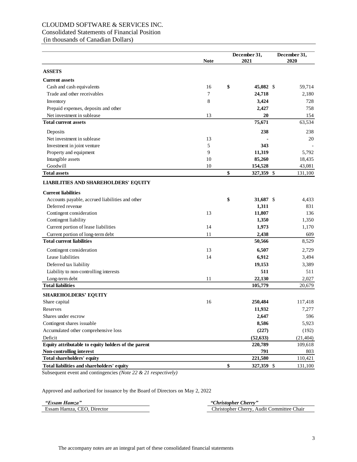# Consolidated Statements of Financial Position

(in thousands of Canadian Dollars)

|                                                     | <b>Note</b> | December 31,<br>2021 | December 31,<br>2020 |           |
|-----------------------------------------------------|-------------|----------------------|----------------------|-----------|
| <b>ASSETS</b>                                       |             |                      |                      |           |
| <b>Current assets</b>                               |             |                      |                      |           |
| Cash and cash equivalents                           | 16          | \$<br>45,082 \$      |                      | 59,714    |
| Trade and other receivables                         | 7           | 24,718               |                      | 2,180     |
| Inventory                                           | 8           | 3,424                |                      | 728       |
| Prepaid expenses, deposits and other                |             | 2,427                |                      | 758       |
| Net investment in sublease                          | 13          | 20                   |                      | 154       |
| <b>Total current assets</b>                         |             | 75,671               |                      | 63,534    |
| Deposits                                            |             | 238                  |                      | 238       |
| Net investment in sublease                          | 13          |                      |                      | 20        |
| Investment in joint venture                         | 5           | 343                  |                      |           |
| Property and equipment                              | 9           | 11,319               |                      | 5,792     |
| Intangible assets                                   | 10          | 85,260               |                      | 18,435    |
| Goodwill                                            | 10          | 154,528              |                      | 43,081    |
| <b>Total assets</b>                                 |             | \$<br>327,359 \$     |                      | 131,100   |
| <b>LIABILITIES AND SHAREHOLDERS' EQUITY</b>         |             |                      |                      |           |
| <b>Current liabilities</b>                          |             |                      |                      |           |
| Accounts payable, accrued liabilities and other     |             | \$<br>31,687 \$      |                      | 4,433     |
| Deferred revenue                                    |             | 1,311                |                      | 831       |
| Contingent consideration                            | 13          | 11,807               |                      | 136       |
| Contingent liability                                |             | 1,350                |                      | 1,350     |
| Current portion of lease liabilities                | 14          | 1,973                |                      | 1,170     |
| Current portion of long-term debt                   | 11          | 2,438                |                      | 609       |
| <b>Total current liabilities</b>                    |             | 50,566               |                      | 8,529     |
| Contingent consideration                            | 13          | 6,507                |                      | 2,729     |
| Lease liabilities                                   | 14          | 6,912                |                      | 3,494     |
| Deferred tax liability                              |             | 19,153               |                      | 3,389     |
| Liability to non-controlling interests              |             | 511                  |                      | 511       |
| Long-term debt                                      | 11          | 22,130               |                      | 2,027     |
| <b>Total liabilities</b>                            |             | 105,779              |                      | 20,679    |
| <b>SHAREHOLDERS' EQUITY</b>                         |             |                      |                      |           |
| Share capital                                       | 16          | 250,484              |                      | 117,418   |
| Reserves                                            |             | 11,932               |                      | 7,277     |
| Shares under escrow                                 |             | 2,647                |                      | 596       |
| Contingent shares issuable                          |             | 8,586                |                      | 5,923     |
| Accumulated other comprehensive loss                |             | (227)                |                      | (192)     |
| Deficit                                             |             | (52, 633)            |                      | (21, 404) |
| Equity attributable to equity holders of the parent |             | 220,789              |                      | 109,618   |
| Non-controlling interest                            |             | 791                  |                      | 803       |
| Total shareholders' equity                          |             | 221,580              |                      | 110,421   |
| Total liabilities and shareholders' equity          |             | \$<br>327,359 \$     |                      | 131,100   |

Subsequent event and contingencies *(Note 22 & 21 respectively)*

Approved and authorized for issuance by the Board of Directors on May 2, 2022

| "Essam Hamza"              | "Christopher Cherry"                      |
|----------------------------|-------------------------------------------|
| Essam Hamza, CEO, Director | Christopher Cherry, Audit Committee Chair |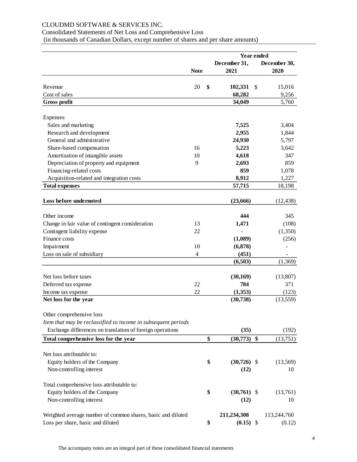# Consolidated Statements of Net Loss and Comprehensive Loss

(in thousands of Canadian Dollars, except number of shares and per share amounts)

|                                                               |                | Year ended                     |              |
|---------------------------------------------------------------|----------------|--------------------------------|--------------|
|                                                               |                | December 31,                   | December 30, |
|                                                               | <b>Note</b>    | 2021                           | 2020         |
|                                                               |                |                                |              |
| Revenue                                                       | 20             | \$<br>102,331<br><sup>\$</sup> | 15,016       |
| Cost of sales                                                 |                | 68,282                         | 9,256        |
| <b>Gross profit</b>                                           |                | 34,049                         | 5,760        |
| Expenses                                                      |                |                                |              |
| Sales and marketing                                           |                | 7,525                          | 3,404        |
| Research and development                                      |                | 2,955                          | 1,844        |
| General and administrative                                    |                | 24,930                         | 5,797        |
| Share-based compensation                                      | 16             | 5,223                          | 3,642        |
| Amortization of intangible assets                             | 10             | 4,618                          | 347          |
| Depreciation of property and equipment                        | 9              | 2,693                          | 859          |
| Financing-related costs                                       |                | 859                            | 1,078        |
| Acquisition-related and integration costs                     |                | 8,912                          | 1,227        |
| <b>Total expenses</b>                                         |                | 57,715                         | 18,198       |
|                                                               |                |                                |              |
| Loss before undernoted                                        |                | (23,666)                       | (12, 438)    |
| Other income                                                  |                | 444                            | 345          |
| Change in fair value of contingent consideration              | 13             | 1,471                          | (108)        |
| Contingent liability expense                                  | 22             |                                | (1,350)      |
| Finance costs                                                 |                |                                |              |
| Impairment                                                    | 10             | (1,089)<br>(6,878)             | (256)        |
|                                                               | $\overline{4}$ | (451)                          |              |
| Loss on sale of subsidiary                                    |                | (6,503)                        | (1,369)      |
|                                                               |                |                                |              |
| Net loss before taxes                                         |                | (30, 169)                      | (13,807)     |
| Deferred tax expense                                          | 22             | 784                            | 371          |
| Income tax expense                                            | 22             | (1,353)                        | (123)        |
| Net loss for the year                                         |                | (30, 738)                      | (13,559)     |
| Other comprehensive loss                                      |                |                                |              |
| Item that may be reclassified to income in subsequent periods |                |                                |              |
| Exchange differences on translation of foreign operations     |                | (35)                           | (192)        |
| Total comprehensive loss for the year                         |                | \$<br>\$<br>(30,773)           | (13,751)     |
|                                                               |                |                                |              |
| Net loss attributable to:                                     |                |                                |              |
| Equity holders of the Company                                 |                | \$<br>$(30,726)$ \$            | (13,569)     |
| Non-controlling interest                                      |                | (12)                           | 10           |
| Total comprehensive loss attributable to:                     |                |                                |              |
| Equity holders of the Company                                 |                | \$<br>$(30,761)$ \$            | (13,761)     |
| Non-controlling interest                                      |                | (12)                           | 10           |
|                                                               |                |                                |              |
| Weighted average number of common shares, basic and diluted   |                | 211,234,308                    | 113,244,760  |
| Loss per share, basic and diluted                             |                | \$<br>$(0.15)$ \$              | (0.12)       |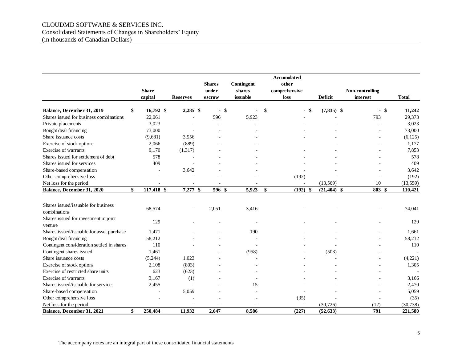## CLOUDMD SOFTWARE & SERVICES INC. Consolidated Statements of Changes in Shareholders' Equity (in thousands of Canadian Dollars)

|                                                  |                  |                 |               |            | <b>Accumulated</b> |                |                          |              |
|--------------------------------------------------|------------------|-----------------|---------------|------------|--------------------|----------------|--------------------------|--------------|
|                                                  |                  |                 | <b>Shares</b> | Contingent | other              |                |                          |              |
|                                                  | <b>Share</b>     |                 | under         | shares     | comprehensive      |                | Non-controlling          |              |
|                                                  | capital          | <b>Reserves</b> | escrow        | issuable   | loss               | <b>Deficit</b> | interest                 | <b>Total</b> |
| Balance, December 31, 2019                       | \$<br>16,792 \$  | $2,285$ \$      | $-$ \$        |            | \$<br>- \$         | $(7,835)$ \$   | $-$ \$                   | 11,242       |
| Shares issued for business combinations          | 22,061           |                 | 596           | 5,923      |                    |                | 793                      | 29,373       |
| Private placements                               | 3,023            |                 | ÷.            |            |                    |                | $\overline{\phantom{a}}$ | 3,023        |
| Bought deal financing                            | 73,000           |                 |               |            |                    |                |                          | 73,000       |
| Share issuance costs                             | (9,681)          | 3,556           |               |            |                    |                |                          | (6,125)      |
| Exercise of stock options                        | 2,066            | (889)           |               |            |                    |                |                          | 1,177        |
| Exercise of warrants                             | 9,170            | (1,317)         |               |            |                    |                |                          | 7,853        |
| Shares issued for settlement of debt             | 578              |                 |               |            |                    |                |                          | 578          |
| Shares issued for services                       | 409              |                 |               |            |                    |                |                          | 409          |
| Share-based compensation                         |                  | 3,642           |               |            |                    |                |                          | 3,642        |
| Other comprehensive loss                         |                  |                 |               |            | (192)              |                |                          | (192)        |
| Net loss for the period                          |                  |                 |               |            |                    | (13,569)       | 10                       | (13, 559)    |
| Balance, December 31, 2020                       | \$<br>117,418 \$ | 7,277 \$        | 596 \$        | 5,923      | \$<br>(192)<br>-\$ | $(21, 404)$ \$ | 803 \$                   | 110,421      |
|                                                  |                  |                 |               |            |                    |                |                          |              |
| Shares issued/issuable for business              | 68,574           |                 | 2,051         | 3,416      |                    |                |                          |              |
| combinations                                     |                  |                 |               |            |                    |                |                          | 74,041       |
| Shares issued for investment in joint<br>venture | 129              |                 |               |            |                    |                |                          | 129          |
| Shares issued/issuable for asset purchase        | 1,471            |                 |               | 190        |                    |                |                          | 1,661        |
| Bought deal financing                            | 58,212           |                 |               |            |                    |                |                          | 58,212       |
| Contingent consideration settled in shares       | 110              |                 |               |            |                    |                |                          | 110          |
| Contingent shares issued                         | 1,461            |                 |               | (958)      |                    | (503)          |                          |              |
| Share issuance costs                             | (5,244)          | 1,023           |               |            |                    |                |                          | (4,221)      |
| Exercise of stock options                        | 2,108            | (803)           |               |            |                    |                |                          | 1,305        |
| Exercise of restricted share units               | 623              | (623)           |               |            |                    |                |                          |              |
| Exercise of warrants                             | 3,167            | (1)             |               |            |                    |                |                          | 3,166        |
| Shares issued/issuable for services              | 2,455            |                 |               | 15         |                    |                |                          | 2,470        |
| Share-based compensation                         |                  | 5,059           |               |            |                    |                |                          | 5,059        |
| Other comprehensive loss                         | ÷.               |                 |               |            | (35)               |                |                          | (35)         |
| Net loss for the period                          |                  |                 |               |            |                    | (30, 726)      | (12)                     | (30, 738)    |
| Balance, December 31, 2021                       | \$<br>250,484    | 11,932          | 2,647         | 8.586      | (227)              | (52, 633)      | 791                      | 221,580      |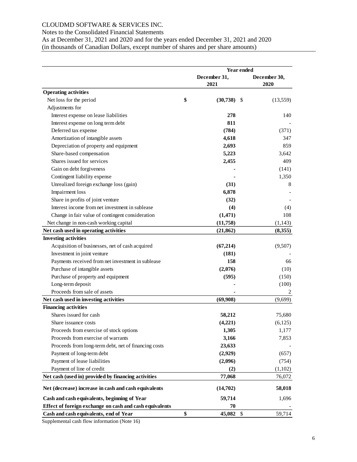Notes to the Consolidated Financial Statements

As at December 31, 2021 and 2020 and for the years ended December 31, 2021 and 2020 (in thousands of Canadian Dollars, except number of shares and per share amounts)

|                                                         |                      | Year ended             |
|---------------------------------------------------------|----------------------|------------------------|
|                                                         | December 31,<br>2021 | December 30,<br>2020   |
| <b>Operating activities</b>                             |                      |                        |
| Net loss for the period                                 | \$<br>$(30,738)$ \$  | (13,559)               |
| Adjustments for                                         |                      |                        |
| Interest expense on lease liabilities                   | 278                  | 140                    |
| Interest expense on long term debt                      | 811                  |                        |
| Deferred tax expense                                    | (784)                | (371)                  |
| Amortization of intangible assets                       | 4,618                | 347                    |
| Depreciation of property and equipment                  | 2,693                | 859                    |
| Share-based compensation                                | 5,223                | 3,642                  |
| Shares issued for services                              | 2,455                | 409                    |
| Gain on debt forgiveness                                |                      | (141)                  |
| Contingent liability expense                            |                      | 1,350                  |
| Unrealized foreign exchange loss (gain)                 | (31)                 | 8                      |
| <b>Impairment</b> loss                                  | 6,878                |                        |
| Share in profits of joint venture                       | (32)                 |                        |
| Interest income from net investment in sublease         | (4)                  | (4)                    |
| Change in fair value of contingent consideration        | (1, 471)             | 108                    |
| Net change in non-cash working capital                  | (11,758)             | (1, 143)               |
| Net cash used in operating activities                   | (21, 862)            | (8,355)                |
| <b>Investing activities</b>                             |                      |                        |
| Acquisition of businesses, net of cash acquired         | (67, 214)            | (9,507)                |
| Investment in joint venture                             | (181)                |                        |
| Payments received from net investment in sublease       | 158                  | 66                     |
| Purchase of intangible assets                           | (2,076)              | (10)                   |
| Purchase of property and equipment                      | (595)                | (150)                  |
| Long-term deposit                                       |                      | (100)                  |
| Proceeds from sale of assets                            |                      | 2                      |
| Net cash used in investing activities                   | (69,908)             | (9,699)                |
| <b>Financing activities</b>                             |                      |                        |
| Shares issued for cash                                  | 58,212               | 75,680                 |
| Share issuance costs                                    | (4,221)              | (6,125)                |
| Proceeds from exercise of stock options                 | 1,305                | 1,177                  |
| Proceeds from exercise of warrants                      | 3,166                | 7,853                  |
| Proceeds from long-term debt, net of financing costs    | 23,633               |                        |
| Payment of long-term debt                               | (2,929)              | (657)                  |
| Payment of lease liabilities                            | (2,096)              | (754)                  |
| Payment of line of credit                               | (2)                  | (1,102)                |
| Net cash (used in) provided by financing activities     | 77,068               | 76,072                 |
| Net (decrease) increase in cash and cash equivalents    | (14,702)             | 58,018                 |
| Cash and cash equivalents, beginning of Year            | 59,714               | 1,696                  |
| Effect of foreign exchange on cash and cash equivalents | 70                   |                        |
| Cash and cash equivalents, end of Year                  | \$<br>45,082         | $\mathbb{S}$<br>59,714 |
| Supplemental cash flow information (Note 16)            |                      |                        |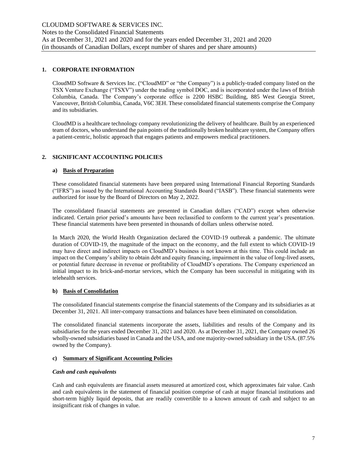## **1. CORPORATE INFORMATION**

CloudMD Software & Services Inc. ("CloudMD" or "the Company") is a publicly-traded company listed on the TSX Venture Exchange ("TSXV") under the trading symbol DOC, and is incorporated under the laws of British Columbia, Canada. The Company's corporate office is 2200 HSBC Building, 885 West Georgia Street, Vancouver, British Columbia, Canada, V6C 3EH. These consolidated financial statements comprise the Company and its subsidiaries.

CloudMD is a healthcare technology company revolutionizing the delivery of healthcare. Built by an experienced team of doctors, who understand the pain points of the traditionally broken healthcare system, the Company offers a patient-centric, holistic approach that engages patients and empowers medical practitioners.

## **2. SIGNIFICANT ACCOUNTING POLICIES**

#### **a) Basis of Preparation**

These consolidated financial statements have been prepared using International Financial Reporting Standards ("IFRS") as issued by the International Accounting Standards Board ("IASB"). These financial statements were authorized for issue by the Board of Directors on May 2, 2022.

The consolidated financial statements are presented in Canadian dollars ("CAD") except when otherwise indicated. Certain prior period's amounts have been reclassified to conform to the current year's presentation. These financial statements have been presented in thousands of dollars unless otherwise noted.

In March 2020, the World Health Organization declared the COVID-19 outbreak a pandemic. The ultimate duration of COVID-19, the magnitude of the impact on the economy, and the full extent to which COVID-19 may have direct and indirect impacts on CloudMD's business is not known at this time. This could include an impact on the Company's ability to obtain debt and equity financing, impairment in the value of long-lived assets, or potential future decrease in revenue or profitability of CloudMD's operations. The Company experienced an initial impact to its brick-and-mortar services, which the Company has been successful in mitigating with its telehealth services.

## **b) Basis of Consolidation**

The consolidated financial statements comprise the financial statements of the Company and its subsidiaries as at December 31, 2021. All inter-company transactions and balances have been eliminated on consolidation.

The consolidated financial statements incorporate the assets, liabilities and results of the Company and its subsidiaries for the years ended December 31, 2021 and 2020. As at December 31, 2021, the Company owned 26 wholly-owned subsidiaries based in Canada and the USA, and one majority-owned subsidiary in the USA. (87.5% owned by the Company).

#### **c) Summary of Significant Accounting Policies**

#### *Cash and cash equivalents*

Cash and cash equivalents are financial assets measured at amortized cost, which approximates fair value. Cash and cash equivalents in the statement of financial position comprise of cash at major financial institutions and short-term highly liquid deposits, that are readily convertible to a known amount of cash and subject to an insignificant risk of changes in value.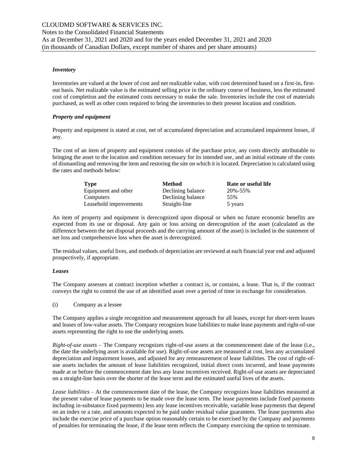#### *Inventory*

Inventories are valued at the lower of cost and net realizable value, with cost determined based on a first-in, firstout basis. Net realizable value is the estimated selling price in the ordinary course of business, less the estimated cost of completion and the estimated costs necessary to make the sale. Inventories include the cost of materials purchased, as well as other costs required to bring the inventories to their present location and condition.

#### *Property and equipment*

Property and equipment is stated at cost, net of accumulated depreciation and accumulated impairment losses, if any.

The cost of an item of property and equipment consists of the purchase price, any costs directly attributable to bringing the asset to the location and condition necessary for its intended use, and an initial estimate of the costs of dismantling and removing the item and restoring the site on which it is located. Depreciation is calculated using the rates and methods below:

| <b>Type</b>            | <b>Method</b>     | Rate or useful life |
|------------------------|-------------------|---------------------|
| Equipment and other    | Declining balance | 20%-55%             |
| Computers              | Declining balance | 55%                 |
| Leasehold improvements | Straight-line     | 5 years             |

An item of property and equipment is derecognized upon disposal or when no future economic benefits are expected from its use or disposal. Any gain or loss arising on derecognition of the asset (calculated as the difference between the net disposal proceeds and the carrying amount of the asset) is included in the statement of net loss and comprehensive loss when the asset is derecognized.

The residual values, useful lives, and methods of depreciation are reviewed at each financial year end and adjusted prospectively, if appropriate.

#### *Leases*

The Company assesses at contract inception whether a contract is, or contains, a lease. That is, if the contract conveys the right to control the use of an identified asset over a period of time in exchange for consideration.

(i) Company as a lessee

The Company applies a single recognition and measurement approach for all leases, except for short-term leases and leases of low-value assets. The Company recognizes lease liabilities to make lease payments and right-of-use assets representing the right to use the underlying assets.

*Right-of-use assets* – The Company recognizes right-of-use assets at the commencement date of the lease (i.e., the date the underlying asset is available for use). Right-of-use assets are measured at cost, less any accumulated depreciation and impairment losses, and adjusted for any remeasurement of lease liabilities. The cost of right-ofuse assets includes the amount of lease liabilities recognized, initial direct costs incurred, and lease payments made at or before the commencement date less any lease incentives received. Right-of-use assets are depreciated on a straight-line basis over the shorter of the lease term and the estimated useful lives of the assets.

*Lease liabilities* – At the commencement date of the lease, the Company recognizes lease liabilities measured at the present value of lease payments to be made over the lease term. The lease payments include fixed payments including in-substance fixed payments) less any lease incentives receivable, variable lease payments that depend on an index or a rate, and amounts expected to be paid under residual value guarantees. The lease payments also include the exercise price of a purchase option reasonably certain to be exercised by the Company and payments of penalties for terminating the lease, if the lease term reflects the Company exercising the option to terminate.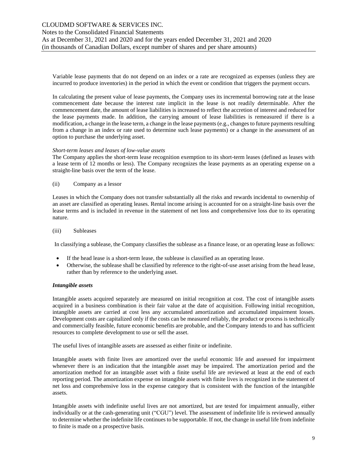Variable lease payments that do not depend on an index or a rate are recognized as expenses (unless they are incurred to produce inventories) in the period in which the event or condition that triggers the payment occurs.

In calculating the present value of lease payments, the Company uses its incremental borrowing rate at the lease commencement date because the interest rate implicit in the lease is not readily determinable. After the commencement date, the amount of lease liabilities is increased to reflect the accretion of interest and reduced for the lease payments made. In addition, the carrying amount of lease liabilities is remeasured if there is a modification, a change in the lease term, a change in the lease payments (e.g., changes to future payments resulting from a change in an index or rate used to determine such lease payments) or a change in the assessment of an option to purchase the underlying asset.

#### *Short-term leases and leases of low-value assets*

The Company applies the short-term lease recognition exemption to its short-term leases (defined as leases with a lease term of 12 months or less). The Company recognizes the lease payments as an operating expense on a straight-line basis over the term of the lease.

(ii) Company as a lessor

Leases in which the Company does not transfer substantially all the risks and rewards incidental to ownership of an asset are classified as operating leases. Rental income arising is accounted for on a straight-line basis over the lease terms and is included in revenue in the statement of net loss and comprehensive loss due to its operating nature.

#### (iii) Subleases

In classifying a sublease, the Company classifies the sublease as a finance lease, or an operating lease as follows:

- If the head lease is a short-term lease, the sublease is classified as an operating lease.
- Otherwise, the sublease shall be classified by reference to the right-of-use asset arising from the head lease, rather than by reference to the underlying asset.

## *Intangible assets*

Intangible assets acquired separately are measured on initial recognition at cost. The cost of intangible assets acquired in a business combination is their fair value at the date of acquisition. Following initial recognition, intangible assets are carried at cost less any accumulated amortization and accumulated impairment losses. Development costs are capitalized only if the costs can be measured reliably, the product or process is technically and commercially feasible, future economic benefits are probable, and the Company intends to and has sufficient resources to complete development to use or sell the asset.

The useful lives of intangible assets are assessed as either finite or indefinite.

Intangible assets with finite lives are amortized over the useful economic life and assessed for impairment whenever there is an indication that the intangible asset may be impaired. The amortization period and the amortization method for an intangible asset with a finite useful life are reviewed at least at the end of each reporting period. The amortization expense on intangible assets with finite lives is recognized in the statement of net loss and comprehensive loss in the expense category that is consistent with the function of the intangible assets.

Intangible assets with indefinite useful lives are not amortized, but are tested for impairment annually, either individually or at the cash-generating unit ("CGU") level. The assessment of indefinite life is reviewed annually to determine whether the indefinite life continues to be supportable. If not, the change in useful life from indefinite to finite is made on a prospective basis.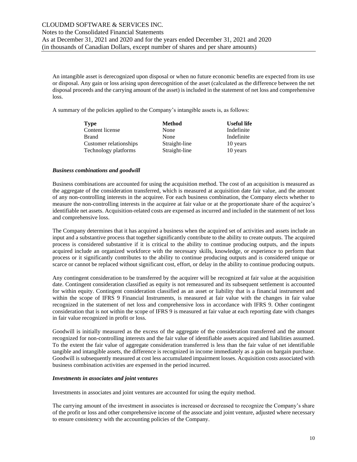#### Notes to the Consolidated Financial Statements

As at December 31, 2021 and 2020 and for the years ended December 31, 2021 and 2020 (in thousands of Canadian Dollars, except number of shares and per share amounts)

An intangible asset is derecognized upon disposal or when no future economic benefits are expected from its use or disposal. Any gain or loss arising upon derecognition of the asset (calculated as the difference between the net disposal proceeds and the carrying amount of the asset) is included in the statement of net loss and comprehensive loss.

A summary of the policies applied to the Company's intangible assets is, as follows:

| <b>Type</b>            | Method        | <b>Useful life</b> |
|------------------------|---------------|--------------------|
| Content license        | None          | Indefinite         |
| <b>Brand</b>           | None          | Indefinite         |
| Customer relationships | Straight-line | 10 years           |
| Technology platforms   | Straight-line | 10 years           |

#### *Business combinations and goodwill*

Business combinations are accounted for using the acquisition method. The cost of an acquisition is measured as the aggregate of the consideration transferred, which is measured at acquisition date fair value, and the amount of any non-controlling interests in the acquiree. For each business combination, the Company elects whether to measure the non-controlling interests in the acquiree at fair value or at the proportionate share of the acquiree's identifiable net assets. Acquisition-related costs are expensed as incurred and included in the statement of net loss and comprehensive loss.

The Company determines that it has acquired a business when the acquired set of activities and assets include an input and a substantive process that together significantly contribute to the ability to create outputs. The acquired process is considered substantive if it is critical to the ability to continue producing outputs, and the inputs acquired include an organized workforce with the necessary skills, knowledge, or experience to perform that process or it significantly contributes to the ability to continue producing outputs and is considered unique or scarce or cannot be replaced without significant cost, effort, or delay in the ability to continue producing outputs.

Any contingent consideration to be transferred by the acquirer will be recognized at fair value at the acquisition date. Contingent consideration classified as equity is not remeasured and its subsequent settlement is accounted for within equity. Contingent consideration classified as an asset or liability that is a financial instrument and within the scope of IFRS 9 Financial Instruments, is measured at fair value with the changes in fair value recognized in the statement of net loss and comprehensive loss in accordance with IFRS 9. Other contingent consideration that is not within the scope of IFRS 9 is measured at fair value at each reporting date with changes in fair value recognized in profit or loss.

Goodwill is initially measured as the excess of the aggregate of the consideration transferred and the amount recognized for non-controlling interests and the fair value of identifiable assets acquired and liabilities assumed. To the extent the fair value of aggregate consideration transferred is less than the fair value of net identifiable tangible and intangible assets, the difference is recognized in income immediately as a gain on bargain purchase. Goodwill is subsequently measured at cost less accumulated impairment losses. Acquisition costs associated with business combination activities are expensed in the period incurred.

#### *Investments in associates and joint ventures*

Investments in associates and joint ventures are accounted for using the equity method.

The carrying amount of the investment in associates is increased or decreased to recognize the Company's share of the profit or loss and other comprehensive income of the associate and joint venture, adjusted where necessary to ensure consistency with the accounting policies of the Company.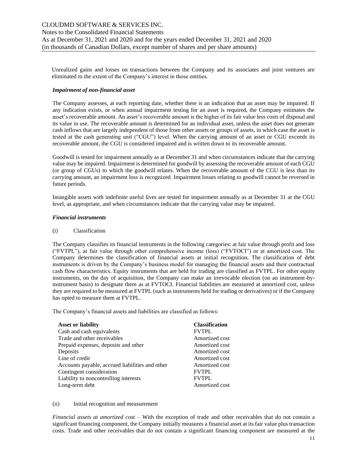Unrealized gains and losses on transactions between the Company and its associates and joint ventures are eliminated to the extent of the Company's interest in those entities.

## *Impairment of non-financial asset*

The Company assesses, at each reporting date, whether there is an indication that an asset may be impaired. If any indication exists, or when annual impairment testing for an asset is required, the Company estimates the asset's recoverable amount. An asset's recoverable amount is the higher of its fair value less costs of disposal and its value in use. The recoverable amount is determined for an individual asset, unless the asset does not generate cash inflows that are largely independent of those from other assets or groups of assets, in which case the asset is tested at the cash generating unit ("CGU") level. When the carrying amount of an asset or CGU exceeds its recoverable amount, the CGU is considered impaired and is written down to its recoverable amount.

Goodwill is tested for impairment annually as at December 31 and when circumstances indicate that the carrying value may be impaired. Impairment is determined for goodwill by assessing the recoverable amount of each CGU (or group of CGUs) to which the goodwill relates. When the recoverable amount of the CGU is less than its carrying amount, an impairment loss is recognized. Impairment losses relating to goodwill cannot be reversed in future periods.

Intangible assets with indefinite useful lives are tested for impairment annually as at December 31 at the CGU level, as appropriate, and when circumstances indicate that the carrying value may be impaired.

#### *Financial instruments*

#### (i) Classification

The Company classifies its financial instruments in the following categories: at fair value through profit and loss ("FVTPL"), at fair value through other comprehensive income (loss) ("FVTOCI") or at amortized cost. The Company determines the classification of financial assets at initial recognition. The classification of debt instruments is driven by the Company's business model for managing the financial assets and their contractual cash flow characteristics. Equity instruments that are held for trading are classified as FVTPL. For other equity instruments, on the day of acquisition, the Company can make an irrevocable election (on an instrument-byinstrument basis) to designate them as at FVTOCI. Financial liabilities are measured at amortized cost, unless they are required to be measured at FVTPL (such as instruments held for trading or derivatives) or if the Company has opted to measure them at FVTPL.

The Company's financial assets and liabilities are classified as follows:

| <b>Asset or liability</b>                       | <b>Classification</b> |
|-------------------------------------------------|-----------------------|
| Cash and cash equivalents                       | <b>FVTPL</b>          |
| Trade and other receivables                     | Amortized cost        |
| Prepaid expenses, deposits and other            | Amortized cost        |
| Deposits                                        | Amortized cost        |
| Line of credit                                  | Amortized cost        |
| Accounts payable, accrued liabilities and other | Amortized cost        |
| Contingent consideration                        | <b>FVTPL</b>          |
| Liability to noncontrolling interests           | <b>FVTPL</b>          |
| Long-term debt                                  | Amortized cost        |

#### (ii) Initial recognition and measurement

*Financial assets at amortized cost* – With the exception of trade and other receivables that do not contain a significant financing component, the Company initially measures a financial asset at its fair value plus transaction costs. Trade and other receivables that do not contain a significant financing component are measured at the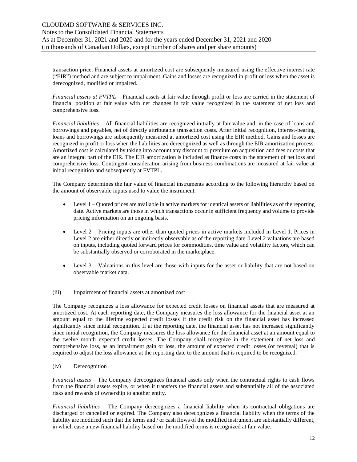## CLOUDMD SOFTWARE & SERVICES INC. Notes to the Consolidated Financial Statements As at December 31, 2021 and 2020 and for the years ended December 31, 2021 and 2020 (in thousands of Canadian Dollars, except number of shares and per share amounts)

transaction price. Financial assets at amortized cost are subsequently measured using the effective interest rate ("EIR") method and are subject to impairment. Gains and losses are recognized in profit or loss when the asset is derecognized, modified or impaired.

*Financial assets at FVTPL* – Financial assets at fair value through profit or loss are carried in the statement of financial position at fair value with net changes in fair value recognized in the statement of net loss and comprehensive loss.

*Financial liabilities* – All financial liabilities are recognized initially at fair value and, in the case of loans and borrowings and payables, net of directly attributable transaction costs. After initial recognition, interest-bearing loans and borrowings are subsequently measured at amortized cost using the EIR method. Gains and losses are recognized in profit or loss when the liabilities are derecognized as well as through the EIR amortization process. Amortized cost is calculated by taking into account any discount or premium on acquisition and fees or costs that are an integral part of the EIR. The EIR amortization is included as finance costs in the statement of net loss and comprehensive loss. Contingent consideration arising from business combinations are measured at fair value at initial recognition and subsequently at FVTPL.

The Company determines the fair value of financial instruments according to the following hierarchy based on the amount of observable inputs used to value the instrument.

- Level 1 Quoted prices are available in active markets for identical assets or liabilities as of the reporting date. Active markets are those in which transactions occur in sufficient frequency and volume to provide pricing information on an ongoing basis.
- Level 2 Pricing inputs are other than quoted prices in active markets included in Level 1. Prices in Level 2 are either directly or indirectly observable as of the reporting date. Level 2 valuations are based on inputs, including quoted forward prices for commodities, time value and volatility factors, which can be substantially observed or corroborated in the marketplace.
- Level 3 Valuations in this level are those with inputs for the asset or liability that are not based on observable market data.

## (iii) Impairment of financial assets at amortized cost

The Company recognizes a loss allowance for expected credit losses on financial assets that are measured at amortized cost. At each reporting date, the Company measures the loss allowance for the financial asset at an amount equal to the lifetime expected credit losses if the credit risk on the financial asset has increased significantly since initial recognition. If at the reporting date, the financial asset has not increased significantly since initial recognition, the Company measures the loss allowance for the financial asset at an amount equal to the twelve month expected credit losses. The Company shall recognize in the statement of net loss and comprehensive loss, as an impairment gain or loss, the amount of expected credit losses (or reversal) that is required to adjust the loss allowance at the reporting date to the amount that is required to be recognized.

## (iv) Derecognition

*Financial assets –* The Company derecognizes financial assets only when the contractual rights to cash flows from the financial assets expire, or when it transfers the financial assets and substantially all of the associated risks and rewards of ownership to another entity.

*Financial liabilities –* The Company derecognizes a financial liability when its contractual obligations are discharged or cancelled or expired. The Company also derecognizes a financial liability when the terms of the liability are modified such that the terms and / or cash flows of the modified instrument are substantially different, in which case a new financial liability based on the modified terms is recognized at fair value.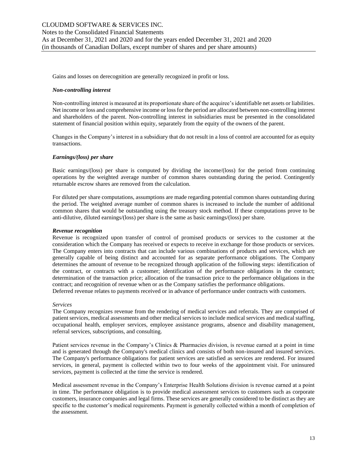Gains and losses on derecognition are generally recognized in profit or loss.

#### *Non-controlling interest*

Non-controlling interest is measured at its proportionate share of the acquiree's identifiable net assets or liabilities. Net income or loss and comprehensive income or loss for the period are allocated between non-controlling interest and shareholders of the parent. Non-controlling interest in subsidiaries must be presented in the consolidated statement of financial position within equity, separately from the equity of the owners of the parent.

Changes in the Company's interest in a subsidiary that do not result in a loss of control are accounted for as equity transactions.

#### *Earnings/(loss) per share*

Basic earnings/(loss) per share is computed by dividing the income/(loss) for the period from continuing operations by the weighted average number of common shares outstanding during the period. Contingently returnable escrow shares are removed from the calculation.

For diluted per share computations, assumptions are made regarding potential common shares outstanding during the period. The weighted average number of common shares is increased to include the number of additional common shares that would be outstanding using the treasury stock method. If these computations prove to be anti-dilutive, diluted earnings/(loss) per share is the same as basic earnings/(loss) per share.

#### *Revenue recognition*

Revenue is recognized upon transfer of control of promised products or services to the customer at the consideration which the Company has received or expects to receive in exchange for those products or services. The Company enters into contracts that can include various combinations of products and services, which are generally capable of being distinct and accounted for as separate performance obligations. The Company determines the amount of revenue to be recognized through application of the following steps: identification of the contract, or contracts with a customer; identification of the performance obligations in the contract; determination of the transaction price; allocation of the transaction price to the performance obligations in the contract; and recognition of revenue when or as the Company satisfies the performance obligations. Deferred revenue relates to payments received or in advance of performance under contracts with customers.

#### *Services*

The Company recognizes revenue from the rendering of medical services and referrals. They are comprised of patient services, medical assessments and other medical services to include medical services and medical staffing, occupational health, employer services, employee assistance programs, absence and disability management, referral services, subscriptions, and consulting.

Patient services revenue in the Company's Clinics & Pharmacies division, is revenue earned at a point in time and is generated through the Company's medical clinics and consists of both non-insured and insured services. The Company's performance obligations for patient services are satisfied as services are rendered. For insured services, in general, payment is collected within two to four weeks of the appointment visit. For uninsured services, payment is collected at the time the service is rendered.

Medical assessment revenue in the Company's Enterprise Health Solutions division is revenue earned at a point in time. The performance obligation is to provide medical assessment services to customers such as corporate customers, insurance companies and legal firms. These services are generally considered to be distinct as they are specific to the customer's medical requirements. Payment is generally collected within a month of completion of the assessment.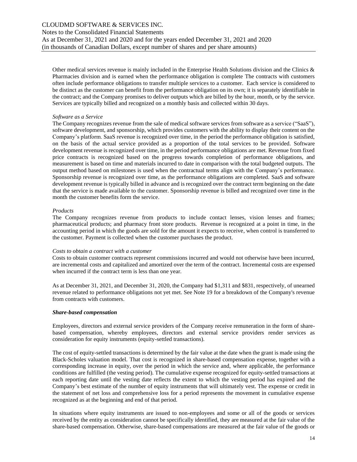## CLOUDMD SOFTWARE & SERVICES INC. Notes to the Consolidated Financial Statements As at December 31, 2021 and 2020 and for the years ended December 31, 2021 and 2020 (in thousands of Canadian Dollars, except number of shares and per share amounts)

Other medical services revenue is mainly included in the Enterprise Health Solutions division and the Clinics  $\&$ Pharmacies division and is earned when the performance obligation is complete The contracts with customers often include performance obligations to transfer multiple services to a customer. Each service is considered to be distinct as the customer can benefit from the performance obligation on its own; it is separately identifiable in the contract; and the Company promises to deliver outputs which are billed by the hour, month, or by the service. Services are typically billed and recognized on a monthly basis and collected within 30 days.

## *Software as a Service*

The Company recognizes revenue from the sale of medical software services from software as a service ("SaaS"), software development, and sponsorship, which provides customers with the ability to display their content on the Company's platform. SaaS revenue is recognized over time, in the period the performance obligation is satisfied, on the basis of the actual service provided as a proportion of the total services to be provided. Software development revenue is recognized over time, in the period performance obligations are met. Revenue from fixed price contracts is recognized based on the progress towards completion of performance obligations, and measurement is based on time and materials incurred to date in comparison with the total budgeted outputs. The output method based on milestones is used when the contractual terms align with the Company's performance. Sponsorship revenue is recognized over time, as the performance obligations are completed. SaaS and software development revenue is typically billed in advance and is recognized over the contract term beginning on the date that the service is made available to the customer. Sponsorship revenue is billed and recognized over time in the month the customer benefits form the service.

#### *Products*

The Company recognizes revenue from products to include contact lenses, vision lenses and frames; pharmaceutical products; and pharmacy front store products. Revenue is recognized at a point in time, in the accounting period in which the goods are sold for the amount it expects to receive, when control is transferred to the customer. Payment is collected when the customer purchases the product.

#### *Costs to obtain a contract with a customer*

Costs to obtain customer contracts represent commissions incurred and would not otherwise have been incurred, are incremental costs and capitalized and amortized over the term of the contract. Incremental costs are expensed when incurred if the contract term is less than one year.

As at December 31, 2021, and December 31, 2020, the Company had \$1,311 and \$831, respectively, of unearned revenue related to performance obligations not yet met. See Note 19 for a breakdown of the Company's revenue from contracts with customers.

## *Share-based compensation*

Employees, directors and external service providers of the Company receive remuneration in the form of sharebased compensation, whereby employees, directors and external service providers render services as consideration for equity instruments (equity-settled transactions).

The cost of equity-settled transactions is determined by the fair value at the date when the grant is made using the Black-Scholes valuation model. That cost is recognized in share-based compensation expense, together with a corresponding increase in equity, over the period in which the service and, where applicable, the performance conditions are fulfilled (the vesting period). The cumulative expense recognized for equity-settled transactions at each reporting date until the vesting date reflects the extent to which the vesting period has expired and the Company's best estimate of the number of equity instruments that will ultimately vest. The expense or credit in the statement of net loss and comprehensive loss for a period represents the movement in cumulative expense recognized as at the beginning and end of that period.

In situations where equity instruments are issued to non-employees and some or all of the goods or services received by the entity as consideration cannot be specifically identified, they are measured at the fair value of the share-based compensation. Otherwise, share-based compensations are measured at the fair value of the goods or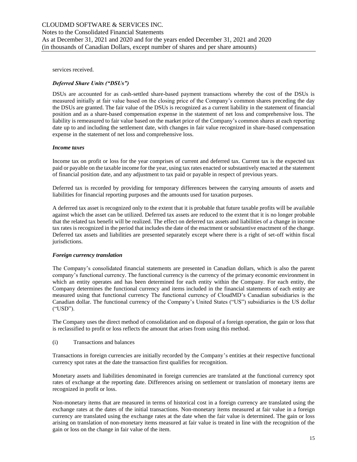services received.

## *Deferred Share Units ("DSUs")*

DSUs are accounted for as cash-settled share-based payment transactions whereby the cost of the DSUs is measured initially at fair value based on the closing price of the Company's common shares preceding the day the DSUs are granted. The fair value of the DSUs is recognized as a current liability in the statement of financial position and as a share-based compensation expense in the statement of net loss and comprehensive loss. The liability is remeasured to fair value based on the market price of the Company's common shares at each reporting date up to and including the settlement date, with changes in fair value recognized in share-based compensation expense in the statement of net loss and comprehensive loss.

#### *Income taxes*

Income tax on profit or loss for the year comprises of current and deferred tax. Current tax is the expected tax paid or payable on the taxable income for the year, using tax rates enacted or substantively enacted at the statement of financial position date, and any adjustment to tax paid or payable in respect of previous years.

Deferred tax is recorded by providing for temporary differences between the carrying amounts of assets and liabilities for financial reporting purposes and the amounts used for taxation purposes.

A deferred tax asset is recognized only to the extent that it is probable that future taxable profits will be available against which the asset can be utilized. Deferred tax assets are reduced to the extent that it is no longer probable that the related tax benefit will be realized. The effect on deferred tax assets and liabilities of a change in income tax rates is recognized in the period that includes the date of the enactment or substantive enactment of the change. Deferred tax assets and liabilities are presented separately except where there is a right of set-off within fiscal jurisdictions.

## *Foreign currency translation*

The Company's consolidated financial statements are presented in Canadian dollars, which is also the parent company's functional currency. The functional currency is the currency of the primary economic environment in which an entity operates and has been determined for each entity within the Company. For each entity, the Company determines the functional currency and items included in the financial statements of each entity are measured using that functional currency The functional currency of CloudMD's Canadian subsidiaries is the Canadian dollar. The functional currency of the Company's United States ("US") subsidiaries is the US dollar ("USD").

The Company uses the direct method of consolidation and on disposal of a foreign operation, the gain or loss that is reclassified to profit or loss reflects the amount that arises from using this method.

(i) Transactions and balances

Transactions in foreign currencies are initially recorded by the Company's entities at their respective functional currency spot rates at the date the transaction first qualifies for recognition.

Monetary assets and liabilities denominated in foreign currencies are translated at the functional currency spot rates of exchange at the reporting date. Differences arising on settlement or translation of monetary items are recognized in profit or loss.

Non-monetary items that are measured in terms of historical cost in a foreign currency are translated using the exchange rates at the dates of the initial transactions. Non-monetary items measured at fair value in a foreign currency are translated using the exchange rates at the date when the fair value is determined. The gain or loss arising on translation of non-monetary items measured at fair value is treated in line with the recognition of the gain or loss on the change in fair value of the item.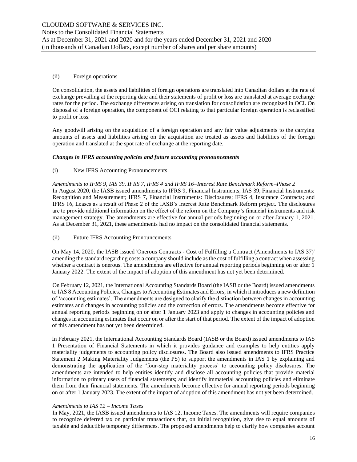#### (ii) Foreign operations

On consolidation, the assets and liabilities of foreign operations are translated into Canadian dollars at the rate of exchange prevailing at the reporting date and their statements of profit or loss are translated at average exchange rates for the period. The exchange differences arising on translation for consolidation are recognized in OCI. On disposal of a foreign operation, the component of OCI relating to that particular foreign operation is reclassified to profit or loss.

Any goodwill arising on the acquisition of a foreign operation and any fair value adjustments to the carrying amounts of assets and liabilities arising on the acquisition are treated as assets and liabilities of the foreign operation and translated at the spot rate of exchange at the reporting date.

#### *Changes in IFRS accounting policies and future accounting pronouncements*

#### (i) New IFRS Accounting Pronouncements

*Amendments to IFRS 9, IAS 39, IFRS 7, IFRS 4 and IFRS 16–Interest Rate Benchmark Reform–Phase 2*  In August 2020, the IASB issued amendments to IFRS 9, Financial Instruments; IAS 39, Financial Instruments: Recognition and Measurement; IFRS 7, Financial Instruments: Disclosures; IFRS 4, Insurance Contracts; and IFRS 16, Leases as a result of Phase 2 of the IASB's Interest Rate Benchmark Reform project. The disclosures are to provide additional information on the effect of the reform on the Company's financial instruments and risk management strategy. The amendments are effective for annual periods beginning on or after January 1, 2021. As at December 31, 2021, these amendments had no impact on the consolidated financial statements.

(ii) Future IFRS Accounting Pronouncements

On May 14, 2020, the IASB issued 'Onerous Contracts - Cost of Fulfilling a Contract (Amendments to IAS 37)' amending the standard regarding costs a company should include as the cost of fulfilling a contract when assessing whether a contract is onerous. The amendments are effective for annual reporting periods beginning on or after 1 January 2022. The extent of the impact of adoption of this amendment has not yet been determined.

On February 12, 2021, the International Accounting Standards Board (the IASB or the Board) issued amendments to IAS 8 Accounting Policies, Changes to Accounting Estimates and Errors, in which it introduces a new definition of 'accounting estimates'. The amendments are designed to clarify the distinction between changes in accounting estimates and changes in accounting policies and the correction of errors. The amendments become effective for annual reporting periods beginning on or after 1 January 2023 and apply to changes in accounting policies and changes in accounting estimates that occur on or after the start of that period. The extent of the impact of adoption of this amendment has not yet been determined.

In February 2021, the International Accounting Standards Board (IASB or the Board) issued amendments to IAS 1 Presentation of Financial Statements in which it provides guidance and examples to help entities apply materiality judgements to accounting policy disclosures. The Board also issued amendments to IFRS Practice Statement 2 Making Materiality Judgements (the PS) to support the amendments in IAS 1 by explaining and demonstrating the application of the 'four-step materiality process' to accounting policy disclosures. The amendments are intended to help entities identify and disclose all accounting policies that provide material information to primary users of financial statements; and identify immaterial accounting policies and eliminate them from their financial statements. The amendments become effective for annual reporting periods beginning on or after 1 January 2023. The extent of the impact of adoption of this amendment has not yet been determined.

#### *Amendments to IAS 12 – Income Taxes*

In May, 2021, the IASB issued amendments to IAS 12, Income Taxes. The amendments will require companies to recognize deferred tax on particular transactions that, on initial recognition, give rise to equal amounts of taxable and deductible temporary differences. The proposed amendments help to clarify how companies account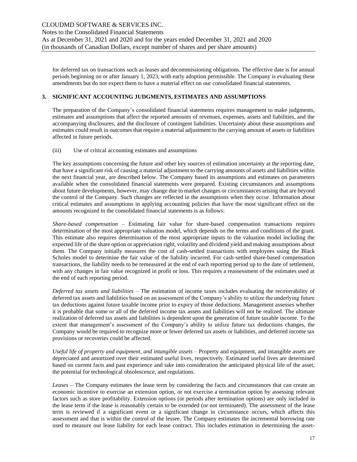for deferred tax on transactions such as leases and decommissioning obligations. The effective date is for annual periods beginning on or after January 1, 2023, with early adoption permissible. The Company is evaluating these amendments but do not expect them to have a material effect on our consolidated financial statements.

## **3. SIGNIFICANT ACCOUNTING JUDGMENTS, ESTIMATES AND ASSUMPTIONS**

The preparation of the Company's consolidated financial statements requires management to make judgments, estimates and assumptions that affect the reported amounts of revenues, expenses, assets and liabilities, and the accompanying disclosures, and the disclosure of contingent liabilities. Uncertainty about these assumptions and estimates could result in outcomes that require a material adjustment to the carrying amount of assets or liabilities affected in future periods.

## (iii) Use of critical accounting estimates and assumptions

The key assumptions concerning the future and other key sources of estimation uncertainty at the reporting date, that have a significant risk of causing a material adjustment to the carrying amounts of assets and liabilities within the next financial year, are described below. The Company based its assumptions and estimates on parameters available when the consolidated financial statements were prepared. Existing circumstances and assumptions about future developments, however, may change due to market changes or circumstances arising that are beyond the control of the Company. Such changes are reflected in the assumptions when they occur. Information about critical estimates and assumptions in applying accounting policies that have the most significant effect on the amounts recognized in the consolidated financial statements is as follows:

*Share-based compensation –* Estimating fair value for share-based compensation transactions requires determination of the most appropriate valuation model, which depends on the terms and conditions of the grant. This estimate also requires determination of the most appropriate inputs to the valuation model including the expected life of the share option or appreciation right, volatility and dividend yield and making assumptions about them. The Company initially measures the cost of cash-settled transactions with employees using the Black Scholes model to determine the fair value of the liability incurred. For cash-settled share-based compensation transactions, the liability needs to be remeasured at the end of each reporting period up to the date of settlement, with any changes in fair value recognized in profit or loss. This requires a reassessment of the estimates used at the end of each reporting period.

*Deferred tax assets and liabilities –* The estimation of income taxes includes evaluating the recoverability of deferred tax assets and liabilities based on an assessment of the Company's ability to utilize the underlying future tax deductions against future taxable income prior to expiry of those deductions. Management assesses whether it is probable that some or all of the deferred income tax assets and liabilities will not be realized. The ultimate realization of deferred tax assets and liabilities is dependent upon the generation of future taxable income. To the extent that management's assessment of the Company's ability to utilize future tax deductions changes, the Company would be required to recognize more or fewer deferred tax assets or liabilities, and deferred income tax provisions or recoveries could be affected.

*Useful life of property and equipment, and intangible assets –* Property and equipment, and intangible assets are depreciated and amortized over their estimated useful lives, respectively. Estimated useful lives are determined based on current facts and past experience and take into consideration the anticipated physical life of the asset, the potential for technological obsolescence, and regulations.

*Leases* – The Company estimates the lease term by considering the facts and circumstances that can create an economic incentive to exercise an extension option, or not exercise a termination option by assessing relevant factors such as store profitability. Extension options (or periods after termination options) are only included in the lease term if the lease is reasonably certain to be extended (or not terminated). The assessment of the lease term is reviewed if a significant event or a significant change in circumstance occurs, which affects this assessment and that is within the control of the lessee. The Company estimates the incremental borrowing rate used to measure our lease liability for each lease contract. This includes estimation in determining the asset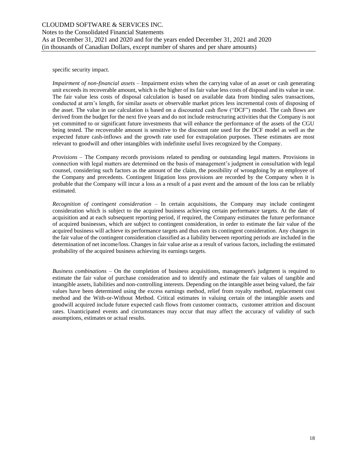specific security impact.

*Impairment of non-financial assets* – Impairment exists when the carrying value of an asset or cash generating unit exceeds its recoverable amount, which is the higher of its fair value less costs of disposal and its value in use. The fair value less costs of disposal calculation is based on available data from binding sales transactions, conducted at arm's length, for similar assets or observable market prices less incremental costs of disposing of the asset. The value in use calculation is based on a discounted cash flow ("DCF") model. The cash flows are derived from the budget for the next five years and do not include restructuring activities that the Company is not yet committed to or significant future investments that will enhance the performance of the assets of the CGU being tested. The recoverable amount is sensitive to the discount rate used for the DCF model as well as the expected future cash-inflows and the growth rate used for extrapolation purposes. These estimates are most relevant to goodwill and other intangibles with indefinite useful lives recognized by the Company.

*Provisions –* The Company records provisions related to pending or outstanding legal matters. Provisions in connection with legal matters are determined on the basis of management's judgment in consultation with legal counsel, considering such factors as the amount of the claim, the possibility of wrongdoing by an employee of the Company and precedents. Contingent litigation loss provisions are recorded by the Company when it is probable that the Company will incur a loss as a result of a past event and the amount of the loss can be reliably estimated.

*Recognition of contingent consideration –* In certain acquisitions, the Company may include contingent consideration which is subject to the acquired business achieving certain performance targets. At the date of acquisition and at each subsequent reporting period, if required, the Company estimates the future performance of acquired businesses, which are subject to contingent consideration, in order to estimate the fair value of the acquired business will achieve its performance targets and thus earn its contingent consideration. Any changes in the fair value of the contingent consideration classified as a liability between reporting periods are included in the determination of net income/loss. Changes in fair value arise as a result of various factors, including the estimated probability of the acquired business achieving its earnings targets.

*Business combinations –* On the completion of business acquisitions, management's judgment is required to estimate the fair value of purchase consideration and to identify and estimate the fair values of tangible and intangible assets, liabilities and non-controlling interests. Depending on the intangible asset being valued, the fair values have been determined using the excess earnings method, relief from royalty method, replacement cost method and the With-or-Without Method. Critical estimates in valuing certain of the intangible assets and goodwill acquired include future expected cash flows from customer contracts, customer attrition and discount rates. Unanticipated events and circumstances may occur that may affect the accuracy of validity of such assumptions, estimates or actual results.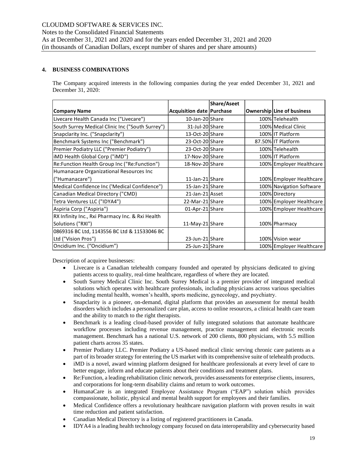## **4. BUSINESS COMBINATIONS**

The Company acquired interests in the following companies during the year ended December 31, 2021 and December 31, 2020:

|                                                  |                                  | <b>Share/Aseet</b> |                            |
|--------------------------------------------------|----------------------------------|--------------------|----------------------------|
| <b>Company Name</b>                              | <b>Acquisition date Purchase</b> |                    | Ownership Line of business |
| Livecare Health Canada Inc ("Livecare")          | 10-Jan-20 Share                  |                    | 100% Telehealth            |
| South Surrey Medical Clinic Inc ("South Surrey") | 31-Jul-20 Share                  |                    | 100% Medical Clinic        |
| Snapclarity Inc. ("Snapclarity")                 | 13-Oct-20 Share                  |                    | 100% IT Platform           |
| Benchmark Systems Inc ("Benchmark")              | 23-Oct-20 Share                  |                    | 87.50% IT Platform         |
| Premier Podiatry LLC ("Premier Podiatry")        | 23-Oct-20 Share                  |                    | 100% Telehealth            |
| iMD Health Global Corp ("iMD")                   | 17-Nov-20 Share                  |                    | 100% IT Platform           |
| Re:Function Health Group Inc ("Re:Function")     | 18-Nov-20 Share                  |                    | 100% Employer Healthcare   |
| Humanacare Organizational Resources Inc          |                                  |                    |                            |
| ("Humanacare")                                   | 11-Jan-21 Share                  |                    | 100% Employer Healthcare   |
| Medical Confidence Inc ('Medical Confidence")    | 15-Jan-21 Share                  |                    | 100% Navigation Software   |
| Canadian Medical Directory ("CMD)                | 21-Jan-21 Asset                  |                    | 100% Directory             |
| Tetra Ventures LLC ("IDYA4")                     | 22-Mar-21 Share                  |                    | 100% Employer Healthcare   |
| Aspiria Corp ("Aspiria")                         | 01-Apr-21 Share                  |                    | 100% Employer Healthcare   |
| RX Infinity Inc., Rxi Pharmacy Inc. & Rxi Health |                                  |                    |                            |
| Solutions ("RXI")                                | 11-May-21 Share                  |                    | 100% Pharmacy              |
| 0869316 BC Ltd, 1143556 BC Ltd & 11533046 BC     |                                  |                    |                            |
| Ltd ("Vision Pros")                              | 23-Jun-21 Share                  |                    | 100% Vision wear           |
| Oncidium Inc. ("Oncidium")                       | 25-Jun-21 Share                  |                    | 100% Employer Healthcare   |

Description of acquiree businesses:

- Livecare is a Canadian telehealth company founded and operated by physicians dedicated to giving patients access to quality, real-time healthcare, regardless of where they are located.
- South Surrey Medical Clinic Inc. South Surrey Medical is a premier provider of integrated medical solutions which operates with healthcare professionals, including physicians across various specialties including mental health, women's health, sports medicine, gynecology, and psychiatry.
- Snapclarity is a pioneer, on-demand, digital platform that provides an assessment for mental health disorders which includes a personalized care plan, access to online resources, a clinical health care team and the ability to match to the right therapists.
- Benchmark is a leading cloud-based provider of fully integrated solutions that automate healthcare workflow processes including revenue management, practice management and electronic records management. Benchmark has a national U.S. network of 200 clients, 800 physicians, with 5.5 million patient charts across 35 states.
- Premier Podiatry LLC. Premier Podiatry a US-based medical clinic serving chronic care patients as a part of its broader strategy for entering the US market with its comprehensive suite of telehealth products.
- iMD is a novel, award winning platform designed for healthcare professionals at every level of care to better engage, inform and educate patients about their conditions and treatment plans.
- Re:Function, a leading rehabilitation clinic network, provides assessments for enterprise clients, insurers, and corporations for long-term disability claims and return to work outcomes.
- HumanaCare is an integrated Employee Assistance Program ("EAP") solution which provides compassionate, holistic, physical and mental health support for employees and their families.
- Medical Confidence offers a revolutionary healthcare navigation platform with proven results in wait time reduction and patient satisfaction.
- Canadian Medical Directory is a listing of registered practitioners in Canada.
- IDYA4 is a leading health technology company focused on data interoperability and cybersecurity based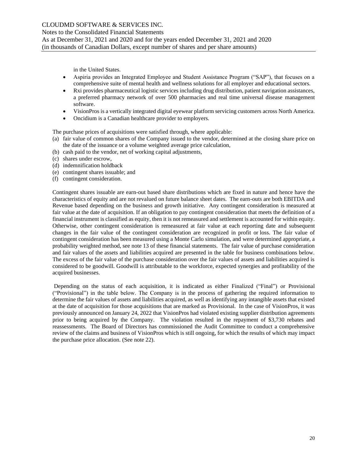in the United States.

- Aspiria provides an Integrated Employee and Student Assistance Program ("SAP"), that focuses on a comprehensive suite of mental health and wellness solutions for all employer and educational sectors.
- Rxi provides pharmaceutical logistic services including drug distribution, patient navigation assistances, a preferred pharmacy network of over 500 pharmacies and real time universal disease management software.
- VisionPros is a vertically integrated digital eyewear platform servicing customers across North America.
- Oncidium is a Canadian healthcare provider to employers.

The purchase prices of acquisitions were satisfied through, where applicable:

- (a) fair value of common shares of the Company issued to the vendor, determined at the closing share price on the date of the issuance or a volume weighted average price calculation,
- (b) cash paid to the vendor, net of working capital adjustments,
- (c) shares under escrow,
- (d) indemnification holdback
- (e) contingent shares issuable; and
- (f) contingent consideration.

Contingent shares issuable are earn-out based share distributions which are fixed in nature and hence have the characteristics of equity and are not revalued on future balance sheet dates. The earn-outs are both EBITDA and Revenue based depending on the business and growth initiative. Any contingent consideration is measured at fair value at the date of acquisition. If an obligation to pay contingent consideration that meets the definition of a financial instrument is classified as equity, then it is not remeasured and settlement is accounted for within equity. Otherwise, other contingent consideration is remeasured at fair value at each reporting date and subsequent changes in the fair value of the contingent consideration are recognized in profit or loss. The fair value of contingent consideration has been measured using a Monte Carlo simulation, and were determined appropriate, a probability weighted method, see note 13 of these financial statements. The fair value of purchase consideration and fair values of the assets and liabilities acquired are presented in the table for business combinations below. The excess of the fair value of the purchase consideration over the fair values of assets and liabilities acquired is considered to be goodwill. Goodwill is attributable to the workforce, expected synergies and profitability of the acquired businesses.

Depending on the status of each acquisition, it is indicated as either Finalized ("Final") or Provisional ("Provisional") in the table below. The Company is in the process of gathering the required information to determine the fair values of assets and liabilities acquired, as well as identifying any intangible assets that existed at the date of acquisition for those acquisitions that are marked as Provisional. In the case of VisionPros, it was previously announced on January 24, 2022 that VisionPros had violated existing supplier distribution agreements prior to being acquired by the Company. The violation resulted in the repayment of \$3,730 rebates and reassessments. The Board of Directors has commissioned the Audit Committee to conduct a comprehensive review of the claims and business of VisionPros which is still ongoing, for which the results of which may impact the purchase price allocation. (See note 22).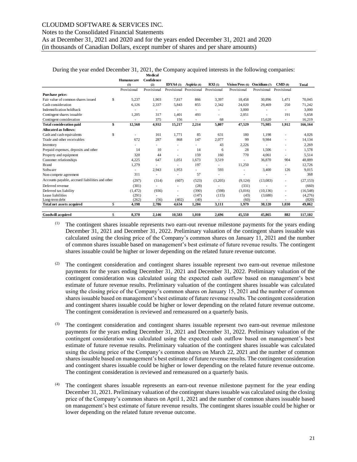Notes to the Consolidated Financial Statements

As at December 31, 2021 and 2020 and for the years ended December 31, 2021 and 2020 (in thousands of Canadian Dollars, except number of shares and per share amounts)

During the year ended December 31, 2021, the Company acquired interests in the following companies: **Medical** 

|                                                 |    | Humanacare               | Confidence  |             |                         |                    |                          |              |                          |           |
|-------------------------------------------------|----|--------------------------|-------------|-------------|-------------------------|--------------------|--------------------------|--------------|--------------------------|-----------|
|                                                 |    | (1)                      | (2)         | IDYA4 $(3)$ | Aspiria (4)             | $\mathbf{RXI}$ (5) | Vision Pros (6)          | Oncidium (7) | $CMD$ $(8)$              | Total     |
|                                                 |    | Provisional              | Provisional |             | Provisional Provisional | Provisional        | Provisional              | Provisional  | Provisional              |           |
| Purchase price:                                 |    |                          |             |             |                         |                    |                          |              |                          |           |
| Fair value of common shares issued              | \$ | 5,237                    | 1.903       | 7.817       | 866                     | 3,397              | 18,458                   | 30,896       | 1.471                    | 70.045    |
| Cash consideration                              |    | 6.126                    | 2,337       | 5,843       | 855                     | 2,342              | 24,020                   | 29,469       | 250                      | 71,242    |
| Indemnification holdback                        |    |                          | ٠           | ٠           | ٠                       |                    | 3,000                    |              | $\overline{\phantom{a}}$ | 3,000     |
| Contingent shares issuable                      |    | 1,205                    | 317         | 1,401       | 493                     |                    | 2,051                    |              | 191                      | 5,658     |
| Contingent consideration                        |    | $\overline{\phantom{a}}$ | 375         | 156         | ٠                       | 68                 | $\overline{\phantom{a}}$ | 15,620       | ٠                        | 16,219    |
| <b>Total consideration paid</b>                 | \$ | 12,568                   | 4,932       | 15,217      | 2,214                   | 5,807              | 47,529                   | 75,985       | 1,912                    | 166,164   |
| <b>Allocated as follows:</b>                    |    |                          |             |             |                         |                    |                          |              |                          |           |
| Cash and cash equivalents                       | \$ | ٠                        | 161         | 1.771       | 85                      | 631                | 180                      | 1.198        | ٠                        | 4,026     |
| Trade and other receivables                     |    | 672                      | 287         | 868         | 147                     | 2.077              | 99                       | 9,984        | ٠                        | 14,134    |
| Inventory                                       |    |                          |             | ٠           |                         | 43                 | 2,226                    |              | ٠                        | 2,269     |
| Prepaid expenses, deposits and other            |    | 14                       | 10          | ٠           | 14                      | 6                  | 28                       | 1,506        | ٠                        | 1,578     |
| Property and equipment                          |    | 320                      | 44          | ٠           | 159                     | 160                | 770                      | 4,061        | $\overline{\phantom{a}}$ | 5,514     |
| Customer relationships                          |    | 4,225                    | 647         | 1,051       | 1,673                   | 3,519              | ä,                       | 36,870       | 904                      | 48,889    |
| <b>Brand</b>                                    |    | 1.279                    |             | ٠           | 197                     |                    | 11,250                   |              |                          | 12,726    |
| Software                                        |    |                          | 2,943       | 1,953       | ٠                       | 593                |                          | 3,400        | 126                      | 9,015     |
| Non-compete agreement                           |    | 311                      |             | ٠           | 57                      |                    |                          |              |                          | 368       |
| Accounts payable, accrued liabilities and other |    | (297)                    | (314)       | (607)       | (523)                   | (3,205)            | (9,124)                  | (13,083)     | ٠                        | (27, 153) |
| Deferred revenue                                |    | (301)                    |             | ٠           | (28)                    |                    | (331)                    |              | ٠                        | (660)     |
| Deferred tax liability                          |    | (1, 472)                 | (936)       |             | (390)                   | (598)              | (3,016)                  | (10, 136)    | ٠                        | (16,548)  |
| Lease liabilities                               |    | (291)                    |             | ٠           | (147)                   | (115)              | (43)                     | (3,680)      | ٠                        | (4,276)   |
| Long-term debt                                  |    | (262)                    | (56)        | (402)       | (40)                    |                    | (60)                     |              |                          | (820)     |
| Total net assets acquired                       | S  | 4.198                    | 2,786       | 4,634       | 1,204                   | 3,111              | 1.979                    | 30,120       | 1,030                    | 49,062    |
| <b>Goodwill acquired</b>                        | Ŝ  | 8.370                    | 2.146       | 10.583      | 1.010                   | 2.696              | 45.550                   | 45,865       | 882                      | 117.102   |

The contingent shares issuable represents two earn-out revenue milestone payments for the years ending December 31, 2021 and December 31, 2022. Preliminary valuation of the contingent shares issuable was calculated using the closing price of the Company's common shares on January 11, 2021 and the number of common shares issuable based on management's best estimate of future revenue results. The contingent shares issuable could be higher or lower depending on the related future revenue outcome.

- (2) The contingent consideration and contingent shares issuable represent two earn-out revenue milestone payments for the years ending December 31, 2021 and December 31, 2022. Preliminary valuation of the contingent consideration was calculated using the expected cash outflow based on management's best estimate of future revenue results. Preliminary valuation of the contingent shares issuable was calculated using the closing price of the Company's common shares on January 15, 2021 and the number of common shares issuable based on management's best estimate of future revenue results. The contingent consideration and contingent shares issuable could be higher or lower depending on the related future revenue outcome. The contingent consideration is reviewed and remeasured on a quarterly basis.
- $<sup>(3)</sup>$  The contingent consideration and contingent shares issuable represent two earn-out revenue milestone</sup> payments for the years ending December 31, 2021 and December 31, 2022. Preliminary valuation of the contingent consideration was calculated using the expected cash outflow based on management's best estimate of future revenue results. Preliminary valuation of the contingent shares issuable was calculated using the closing price of the Company's common shares on March 22, 2021 and the number of common shares issuable based on management's best estimate of future revenue results. The contingent consideration and contingent shares issuable could be higher or lower depending on the related future revenue outcome. The contingent consideration is reviewed and remeasured on a quarterly basis.
- (4) The contingent shares issuable represents an earn-out revenue milestone payment for the year ending December 31, 2021. Preliminary valuation of the contingent shares issuable was calculated using the closing price of the Company's common shares on April 1, 2021 and the number of common shares issuable based on management's best estimate of future revenue results. The contingent shares issuable could be higher or lower depending on the related future revenue outcome.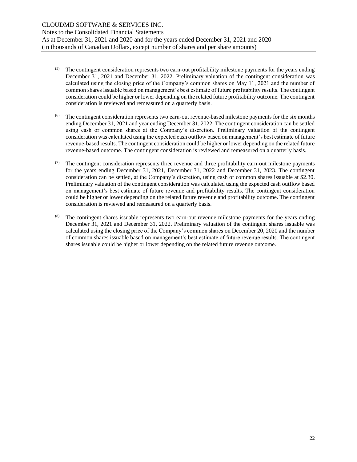- <sup>(5)</sup> The contingent consideration represents two earn-out profitability milestone payments for the years ending December 31, 2021 and December 31, 2022. Preliminary valuation of the contingent consideration was calculated using the closing price of the Company's common shares on May 11, 2021 and the number of common shares issuable based on management's best estimate of future profitability results. The contingent consideration could be higher or lower depending on the related future profitability outcome. The contingent consideration is reviewed and remeasured on a quarterly basis.
- <sup>(6)</sup> The contingent consideration represents two earn-out revenue-based milestone payments for the six months ending December 31, 2021 and year ending December 31, 2022. The contingent consideration can be settled using cash or common shares at the Company's discretion. Preliminary valuation of the contingent consideration was calculated using the expected cash outflow based on management's best estimate of future revenue-based results. The contingent consideration could be higher or lower depending on the related future revenue-based outcome. The contingent consideration is reviewed and remeasured on a quarterly basis.
- (7) The contingent consideration represents three revenue and three profitability earn-out milestone payments for the years ending December 31, 2021, December 31, 2022 and December 31, 2023. The contingent consideration can be settled, at the Company's discretion, using cash or common shares issuable at \$2.30. Preliminary valuation of the contingent consideration was calculated using the expected cash outflow based on management's best estimate of future revenue and profitability results. The contingent consideration could be higher or lower depending on the related future revenue and profitability outcome. The contingent consideration is reviewed and remeasured on a quarterly basis.
- <sup>(8)</sup> The contingent shares issuable represents two earn-out revenue milestone payments for the years ending December 31, 2021 and December 31, 2022. Preliminary valuation of the contingent shares issuable was calculated using the closing price of the Company's common shares on December 20, 2020 and the number of common shares issuable based on management's best estimate of future revenue results. The contingent shares issuable could be higher or lower depending on the related future revenue outcome.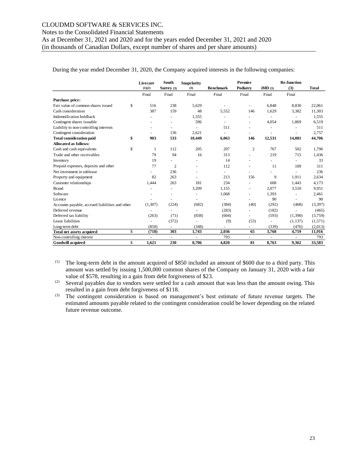#### Notes to the Consolidated Financial Statements

As at December 31, 2021 and 2020 and for the years ended December 31, 2021 and 2020 (in thousands of Canadian Dollars, except number of shares and per share amounts)

During the year ended December 31, 2020, the Company acquired interests in the following companies:

|                                                 | Livecare<br>(1)(2) | South<br>Surrey (3)      | <b>Snapclarity</b><br>(3) | <b>Benchmark</b> | Premier<br>Podiatry | iMD(3)         | <b>Re:function</b><br>(3) | <b>Total</b> |
|-------------------------------------------------|--------------------|--------------------------|---------------------------|------------------|---------------------|----------------|---------------------------|--------------|
|                                                 |                    |                          |                           |                  |                     |                |                           |              |
|                                                 | Final              | Final                    | Final                     | Final            | Final               | Final          | Final                     |              |
| Purchase price:                                 |                    |                          |                           |                  |                     |                |                           |              |
| Fair value of common shares issued              | \$<br>516          | 238                      | 5,629                     |                  | $\overline{a}$      | 6,848          | 8,830                     | 22,061       |
| Cash consideration                              | 387                | 159                      | 48                        | 5,552            | 146                 | 1,629          | 3,382                     | 11,303       |
| Indemnification holdback                        |                    | $\overline{\phantom{a}}$ | 1,555                     | $\overline{a}$   | ٠                   | $\overline{a}$ | $\overline{\phantom{a}}$  | 1,555        |
| Contingent shares issuable                      |                    |                          | 596                       | $\sim$           | ÷,                  | 4,054          | 1,869                     | 6,519        |
| Liability to non-controlling interests          |                    |                          |                           | 511              |                     |                |                           | 511          |
| Contingent consideration                        |                    | 136                      | 2,621                     |                  |                     |                | $\sim$                    | 2,757        |
| <b>Total consideration paid</b>                 | \$<br>903          | 533                      | 10,449                    | 6,063            | 146                 | 12,531         | 14,081                    | 44,706       |
| <b>Allocated as follows:</b>                    |                    |                          |                           |                  |                     |                |                           |              |
| Cash and cash equivalents                       | \$<br>1            | 112                      | 205                       | 207              | 2                   | 767            | 502                       | 1,796        |
| Trade and other receivables                     | 79                 | 94                       | 16                        | 313              | ÷,                  | 219            | 715                       | 1,436        |
| Inventory                                       | 19                 |                          | ٠                         | 14               | ٠                   |                | $\sim$                    | 33           |
| Prepaid expenses, deposits and other            | 77                 | $\overline{c}$           |                           | 112              | ÷                   | 11             | 109                       | 311          |
| Net investment in sublease                      |                    | 236                      |                           | $\omega$         |                     | $\overline{a}$ |                           | 236          |
| Property and equipment                          | 82                 | 263                      |                           | 213              | 156                 | 9              | 1.911                     | 2,634        |
| Customer relationships                          | 1.444              | 263                      | 181                       | 234              |                     | 608            | 1,443                     | 4,173        |
| <b>Brand</b>                                    |                    | $\overline{\phantom{a}}$ | 3,209                     | 1,155            | ٠                   | 2,077          | 3,510                     | 9,951        |
| Software                                        |                    | $\overline{a}$           |                           | 1,068            | $\overline{a}$      | 1,393          |                           | 2,461        |
| Licence                                         |                    |                          |                           |                  |                     | 90             |                           | 90           |
| Accounts payable, accrued liabilities and other | (1,307)            | (224)                    | (682)                     | (384)            | (40)                | (292)          | (468)                     | (3,397)      |
| Deferred revenue                                | ٠                  |                          | $\ddot{\phantom{1}}$      | (283)            | $\blacksquare$      | (182)          | ÷                         | (465)        |
| Deferred tax liability                          | (263)              | (71)                     | (838)                     | (604)            |                     | (593)          | (1,390)                   | (3,759)      |
| Lease liabilities                               |                    | (372)                    |                           | (9)              | (53)                |                | (1, 137)                  | (1,571)      |
| Long-term debt                                  | (850)              | $\blacksquare$           | (348)                     | $\sim$           |                     | (339)          | (476)                     | (2,013)      |
| Total net assets acquired                       | \$<br>(718)        | 303                      | 1,743                     | 2,036            | 65                  | 3,768          | 4,719                     | 11,916       |
| Non-controlling interest                        | $\equiv$           | $\sim$                   | $\blacksquare$            | 793              | $\equiv$            | $\equiv$       | $\omega$                  | 793          |
| <b>Goodwill acquired</b>                        | \$<br>1,621        | 230                      | 8,706                     | 4.820            | 81                  | 8,763          | 9,362                     | 33,583       |

(1) The long-term debt in the amount acquired of \$850 included an amount of \$600 due to a third party. This amount was settled by issuing 1,500,000 common shares of the Company on January 31, 2020 with a fair value of \$578, resulting in a gain from debt forgiveness of \$23.

<sup>(2)</sup> Several payables due to vendors were settled for a cash amount that was less than the amount owing. This resulted in a gain from debt forgiveness of \$118.

<sup>(3)</sup> The contingent consideration is based on management's best estimate of future revenue targets. The estimated amounts payable related to the contingent consideration could be lower depending on the related future revenue outcome.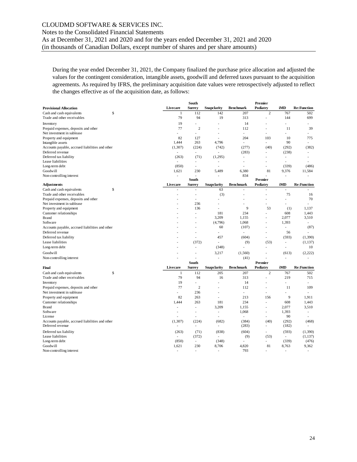## Notes to the Consolidated Financial Statements

As at December 31, 2021 and 2020 and for the years ended December 31, 2021 and 2020 (in thousands of Canadian Dollars, except number of shares and per share amounts)

During the year ended December 31, 2021, the Company finalized the purchase price allocation and adjusted the values for the contingent consideration, intangible assets, goodwill and deferred taxes pursuant to the acquisition agreements. As required by IFRS, the preliminary acquisition date values were retrospectively adjusted to reflect the changes effective as of the acquisition date, as follows:

|                                                 |              | South                    |                    |                          | Premier                  |                          |                    |
|-------------------------------------------------|--------------|--------------------------|--------------------|--------------------------|--------------------------|--------------------------|--------------------|
| <b>Provisional Allocation</b>                   | Livecare     | <b>Surrey</b>            | <b>Snapclarity</b> | <b>Benchmark</b>         | Podiatry                 | iMD                      | <b>Re:Function</b> |
| \$<br>Cash and cash equivalents                 | $\mathbf{1}$ | 112                      | 142                | 207                      | 2                        | 767                      | 502                |
| Trade and other receivables                     | 79           | 94                       | 19                 | 313                      | $\overline{\phantom{a}}$ | 144                      | 699                |
| Inventory                                       | 19           |                          | ٠                  | 14                       |                          | ä,                       |                    |
| Prepaid expenses, deposits and other            | 77           | $\overline{c}$           |                    | 112                      |                          | 11                       | 39                 |
| Net investment in sublease                      |              | ÷.                       |                    | ÷                        |                          |                          |                    |
|                                                 |              |                          |                    |                          | 103                      | 10                       |                    |
| Property and equipment                          | 82<br>1,444  | 127<br>263               | 4,796              | 204<br>ä,                | ÷.                       | 90                       | 775                |
| Intangible assets                               |              |                          |                    |                          |                          |                          |                    |
| Accounts payable, accrued liabilities and other | (1, 307)     | (224)                    | (742)              | (277)                    | (40)                     | (292)                    | (382)              |
| Deferred revenue                                |              | ٠                        |                    | (283)                    |                          | (238)                    |                    |
| Deferred tax liability                          | (263)        | (71)                     | (1,295)            | $\overline{\phantom{a}}$ |                          | $\overline{\phantom{a}}$ |                    |
| Lease liabilities                               |              |                          |                    | J.                       |                          | ÷.                       |                    |
| Long-term debt                                  | (850)        | ٠                        |                    | J.                       |                          | (339)                    | (486)              |
| Goodwill                                        | 1,621        | 230                      | 5,489              | 6,380                    | 81                       | 9,376                    | 11,584             |
| Non-controlling interest                        | ÷.           |                          | ٠                  | 834                      |                          | ÷.                       |                    |
|                                                 |              | South                    |                    |                          | Premier                  |                          |                    |
| <b>Adjustments</b>                              | Livecare     | Surrey                   | Snapclarity        | <b>Benchmark</b>         | Podiatry                 | iMD                      | <b>Re:Function</b> |
| \$<br>Cash and cash equivalents                 |              | $\overline{\phantom{a}}$ | 63                 |                          |                          |                          |                    |
| Trade and other receivables                     | ٠            | $\overline{\phantom{a}}$ | (3)                | ÷                        | ٠                        | 75                       | 16                 |
| Prepaid expenses, deposits and other            |              | $\overline{\phantom{a}}$ |                    |                          |                          | ÷,                       | 70                 |
| Net investment in sublease                      |              | 236                      |                    | í.                       |                          | ÷.                       | ÷                  |
| Property and equipment                          |              | 136                      | ٠                  | 9                        | 53                       | (1)                      | 1,137              |
| Customer relationships                          |              | $\sim$                   | 181                | 234                      | ä,                       | 608                      | 1,443              |
| <b>Brand</b>                                    |              | ٠                        | 3,209              | 1,155                    | ٠                        | 2,077                    | 3,510              |
| Software                                        |              |                          | (4,796)            | 1,068                    |                          | 1,393                    |                    |
| Accounts payable, accrued liabilities and other |              | ٠                        | 60                 | (107)                    |                          | ÷.                       | (87)               |
|                                                 |              |                          |                    |                          |                          |                          |                    |
| Deferred revenue                                |              | ÷.                       | ä,                 | ÷,                       |                          | 56                       |                    |
| Deferred tax liability                          |              | $\overline{\phantom{a}}$ | 457                | (604)                    |                          | (593)                    | (1,390)            |
| Lease liabilities                               |              | (372)                    |                    | (9)                      | (53)                     | ÷.                       | (1, 137)           |
| Long-term debt                                  |              | ÷,                       | (348)              |                          |                          | ÷,                       | 10                 |
| Goodwill                                        |              | ٠                        | 3,217              | (1,560)                  | ٠                        | (613)                    | (2,222)            |
| Non-controlling interest                        |              |                          | ä,                 | (41)                     | $\overline{\phantom{a}}$ | ÷,                       |                    |
|                                                 |              | South                    |                    |                          | Premier                  |                          |                    |
| Final                                           | Livecare     | <b>Surrey</b>            | <b>Snapclarity</b> | <b>Benchmark</b>         | Podiatry                 | iMD                      | <b>Re:Function</b> |
| \$                                              |              | 112                      |                    |                          | $\overline{c}$           |                          |                    |
| Cash and cash equivalents                       | $\mathbf{1}$ |                          | 205                | 207                      |                          | 767                      | 502                |
| Trade and other receivables                     | 79           | 94                       | 16                 | 313                      | ä,                       | 219                      | 715                |
| Inventory                                       | 19           | ÷,                       |                    | 14                       |                          | ÷,                       |                    |
| Prepaid expenses, deposits and other            | 77           | $\overline{c}$           |                    | 112                      |                          | 11                       | 109                |
| Net investment in sublease                      | ÷.           | 236                      | ٠                  | ÷                        | ÷.                       | ÷.                       | ÷                  |
| Property and equipment                          | 82           | 263                      | ٠                  | 213                      | 156                      | 9                        | 1,911              |
| Customer relationships                          | 1,444        | 263                      | 181                | 234                      | ÷.                       | 608                      | 1,443              |
| <b>Brand</b>                                    | ä,           | $\sim$                   | 3,209              | 1,155                    |                          | 2,077                    | 3,510              |
| Software                                        | ä,           | $\overline{\phantom{a}}$ | ä,                 | 1,068                    | $\overline{\phantom{a}}$ | 1,393                    | ×.                 |
| License                                         |              |                          |                    | ÷,                       |                          | 90                       |                    |
| Accounts payable, accrued liabilities and other | (1, 307)     | (224)                    | (682)              | (384)                    | (40)                     | (292)                    | (468)              |
| Deferred revenue                                | ä,           | $\sim$                   | ä,                 | (283)                    | $\sim$                   | (182)                    |                    |
|                                                 |              |                          |                    |                          |                          |                          |                    |
| Deferred tax liability                          | (263)        | (71)                     | (838)              | (604)                    | ٠                        | (593)                    | (1,390)            |
| Lease liabilities                               |              | (372)                    | ä,                 | (9)                      | (53)                     | ÷.                       | (1, 137)           |
| Long-term debt                                  | (850)        | $\overline{\phantom{a}}$ | (348)              | ä,                       |                          | (339)                    | (476)              |
| Goodwill                                        | 1,621        | 230                      | 8,706              | 4,820                    | 81                       | 8,763                    | 9,362              |
| Non-controlling interest                        | ä,           | $\overline{\phantom{a}}$ | ä,                 | 793                      |                          | ÷.                       | ٠                  |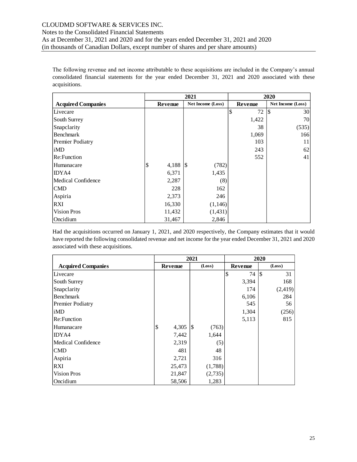## CLOUDMD SOFTWARE & SERVICES INC. Notes to the Consolidated Financial Statements As at December 31, 2021 and 2020 and for the years ended December 31, 2021 and 2020 (in thousands of Canadian Dollars, except number of shares and per share amounts)

The following revenue and net income attributable to these acquisitions are included in the Company's annual consolidated financial statements for the year ended December 31, 2021 and 2020 associated with these acquisitions.

|                           |                       | 2021              |                | 2020                |
|---------------------------|-----------------------|-------------------|----------------|---------------------|
| <b>Acquired Companies</b> | Revenue               | Net Income (Loss) | <b>Revenue</b> | Net Income (Loss)   |
| Livecare                  |                       |                   | 72<br>S        | $\mathcal{S}$<br>30 |
| South Surrey              |                       |                   | 1,422          | 70I                 |
| Snapclarity               |                       |                   | 38             | (535)               |
| Benchmark                 |                       |                   | 1,069          | 166                 |
| Premier Podiatry          |                       |                   | 103            | 11                  |
| iMD                       |                       |                   | 243            | 62                  |
| Re:Function               |                       |                   | 552            | 41                  |
| Humanacare                | \$<br>4,188 $\vert \$ | (782)             |                |                     |
| <b>IDYA4</b>              | 6,371                 | 1,435             |                |                     |
| Medical Confidence        | 2,287                 | (8)               |                |                     |
| <b>CMD</b>                | 228                   | 162               |                |                     |
| Aspiria                   | 2,373                 | 246               |                |                     |
| <b>RXI</b>                | 16,330                | (1,146)           |                |                     |
| <b>Vision Pros</b>        | 11,432                | (1, 431)          |                |                     |
| Oncidium                  | 31,467                | 2,846             |                |                     |

Had the acquisitions occurred on January 1, 2021, and 2020 respectively, the Company estimates that it would have reported the following consolidated revenue and net income for the year ended December 31, 2021 and 2020 associated with these acquisitions.

|                           |                | 2021         | 2020           |                     |  |  |
|---------------------------|----------------|--------------|----------------|---------------------|--|--|
| <b>Acquired Companies</b> | <b>Revenue</b> | (Loss)       | <b>Revenue</b> | (Loss)              |  |  |
| Livecare                  |                |              | \$<br>74       | <sup>\$</sup><br>31 |  |  |
| South Surrey              |                |              | 3,394          | 168                 |  |  |
| Snapclarity               |                |              | 174            | (2, 419)            |  |  |
| Benchmark                 |                |              | 6,106          | 284                 |  |  |
| Premier Podiatry          |                |              | 545            | 56                  |  |  |
| iMD                       |                |              | 1,304          | (256)               |  |  |
| Re:Function               |                |              | 5,113          | 815                 |  |  |
| Humanacare                | \$<br>4,305    | (763)<br>1\$ |                |                     |  |  |
| <b>IDYA4</b>              | 7,442          | 1,644        |                |                     |  |  |
| Medical Confidence        | 2,319          | (5)          |                |                     |  |  |
| <b>CMD</b>                | 481            | 48           |                |                     |  |  |
| Aspiria                   | 2,721          | 316          |                |                     |  |  |
| <b>RXI</b>                | 25,473         | (1,788)      |                |                     |  |  |
| <b>Vision Pros</b>        | 21,847         | (2,735)      |                |                     |  |  |
| Oncidium                  | 58,506         | 1,283        |                |                     |  |  |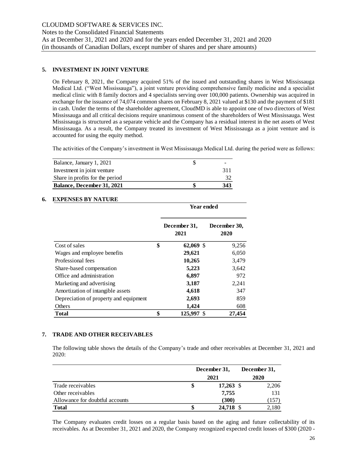## **5. INVESTMENT IN JOINT VENTURE**

On February 8, 2021, the Company acquired 51% of the issued and outstanding shares in West Mississauga Medical Ltd. ("West Mississauga"), a joint venture providing comprehensive family medicine and a specialist medical clinic with 8 family doctors and 4 specialists serving over 100,000 patients. Ownership was acquired in exchange for the issuance of 74,074 common shares on February 8, 2021 valued at \$130 and the payment of \$181 in cash. Under the terms of the shareholder agreement, CloudMD is able to appoint one of two directors of West Mississauga and all critical decisions require unanimous consent of the shareholders of West Mississauga. West Mississauga is structured as a separate vehicle and the Company has a residual interest in the net assets of West Mississauga. As a result, the Company treated its investment of West Mississauga as a joint venture and is accounted for using the equity method.

The activities of the Company's investment in West Mississauga Medical Ltd. during the period were as follows:

| Balance, January 1, 2021        |     |
|---------------------------------|-----|
| Investment in joint venture     | 31  |
| Share in profits for the period | 32  |
| Balance, December 31, 2021      | 343 |

#### **6. EXPENSES BY NATURE**

|                                        | Year ended           |                      |  |  |  |
|----------------------------------------|----------------------|----------------------|--|--|--|
|                                        | December 31,<br>2021 | December 30,<br>2020 |  |  |  |
| Cost of sales                          | \$<br>$62,069$ \$    | 9,256                |  |  |  |
| Wages and employee benefits            | 29,621               | 6,050                |  |  |  |
| Professional fees                      | 10,265               | 3,479                |  |  |  |
| Share-based compensation               | 5,223                | 3,642                |  |  |  |
| Office and administration              | 6,897                | 972                  |  |  |  |
| Marketing and advertising              | 3,187                | 2,241                |  |  |  |
| Amortization of intangible assets      | 4,618                | 347                  |  |  |  |
| Depreciation of property and equipment | 2,693                | 859                  |  |  |  |
| Others                                 | 1,424                | 608                  |  |  |  |
| <b>Total</b>                           | \$<br>125,997 \$     | 27,454               |  |  |  |

#### **7. TRADE AND OTHER RECEIVABLES**

The following table shows the details of the Company's trade and other receivables at December 31, 2021 and 2020:

|                                 | December 31, |             | December 31, |
|---------------------------------|--------------|-------------|--------------|
|                                 |              | 2021        | 2020         |
| Trade receivables               |              | $17,263$ \$ | 2,206        |
| Other receivables               |              | 7,755       | 131          |
| Allowance for doubtful accounts |              | (300)       | (157)        |
| <b>Total</b>                    |              | 24,718 \$   | 2,180        |

The Company evaluates credit losses on a regular basis based on the aging and future collectability of its receivables. As at December 31, 2021 and 2020, the Company recognized expected credit losses of \$300 (2020 -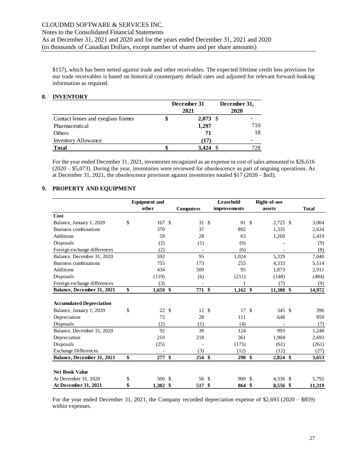## CLOUDMD SOFTWARE & SERVICES INC. Notes to the Consolidated Financial Statements As at December 31, 2021 and 2020 and for the years ended December 31, 2021 and 2020 (in thousands of Canadian Dollars, except number of shares and per share amounts)

\$157), which has been netted against trade and other receivables. The expected lifetime credit loss provision for our trade receivables is based on historical counterparty default rates and adjusted for relevant forward-looking information as required.

## **8. INVENTORY**

|                                    | December 31 |            | December 31, |
|------------------------------------|-------------|------------|--------------|
|                                    |             | 2021       | 2020         |
| Contact lenses and eyeglass frames |             | $2,073$ \$ |              |
| Pharmaceutical                     |             | 1,297      | 710          |
| <b>Others</b>                      |             | 71         | 18           |
| <b>Inventory Allowance</b>         |             | (17        |              |
| <b>Total</b>                       |             | 3.424      | 728          |

For the year ended December 31, 2021, inventories recognized as an expense in cost of sales amounted to \$26,616 (2020 – \$5,073). During the year, inventories were reviewed for obsolescence as part of ongoing operations. As at December 31, 2021, the obsolescence provision against inventories totaled  $$17 (2020 - $nil)$ .

## **9. PROPERTY AND EQUIPMENT**

|                                 | <b>Equipment and</b> |               |                  |    | Leasehold    | Right-of-use   |              |
|---------------------------------|----------------------|---------------|------------------|----|--------------|----------------|--------------|
|                                 | other                |               | <b>Computers</b> |    | improvements | assets         | <b>Total</b> |
| Cost                            |                      |               |                  |    |              |                |              |
| Balance, January 1, 2020        | \$<br>167S           |               | 31 \$            |    | 81 \$        | $2,725$ \$     | 3,004        |
| Business combinations           | 370                  |               | 37               |    | 892          | 1,335          | 2,634        |
| <b>Additions</b>                | 59                   |               | 28               |    | 63           | 1,269          | 1,419        |
| Disposals                       | (2)                  |               | (1)              |    | (6)          |                | (9)          |
| Foreign exchange differences    | (2)                  |               |                  |    | (6)          |                | (8)          |
| Balance, December 31, 2020      | 592                  |               | 95               |    | 1,024        | 5,329          | 7,040        |
| Business combinations           | 755                  |               | 173              |    | 253          | 4,333          | 5,514        |
| <b>Additions</b>                | 434                  |               | 509              |    | 95           | 1,873          | 2,911        |
| Disposals                       | (119)                |               | (6)              |    | (211)        | (148)          | (484)        |
| Foreign exchange differences    | (3)                  |               |                  |    |              | (7)            | (9)          |
| Balance, December 31, 2021      | \$<br>1,659          | $\mathbf{s}$  | 771 \$           |    | $1,162$ \$   | 11,380 \$      | 14,972       |
|                                 |                      |               |                  |    |              |                |              |
| <b>Accumulated Depreciation</b> |                      |               |                  |    |              |                |              |
| Balance, January 1, 2020        | \$<br>22             | $\mathcal{S}$ | 12S              |    | 17S          | 345 \$         | 396          |
| Depreciation                    | 72                   |               | 28               |    | 111          | 648            | 859          |
| Disposals                       | (2)                  |               | (1)              |    | (4)          |                | (7)          |
| Balance, December 31, 2020      | 92                   |               | 39               |    | 124          | 993            | 1,248        |
| Depreciation                    | 210                  |               | 218              |    | 361          | 1,904          | 2,693        |
| Disposals                       | (25)                 |               |                  |    | (175)        | (61)           | (261)        |
| <b>Exchange Differences</b>     |                      |               | (3)              |    | (12)         | (12)           | (27)         |
| Balance, December 31, 2021      | \$<br>277 \$         |               | 254 \$           |    | 298 \$       | 2,824 \$       | 3,653        |
| <b>Net Book Value</b>           |                      |               |                  |    |              |                |              |
| At December 31, 2020            | \$<br>500            | -\$           | 56               | £. | 900S         | $4.336$ \$     | 5,792        |
| At December 31, 2021            | \$<br>1.382          | \$            | 517              | \$ | 864          | \$<br>8,556 \$ | 11,319       |

For the year ended December 31, 2021, the Company recorded depreciation expense of \$2,693 (2020 – \$859) within expenses.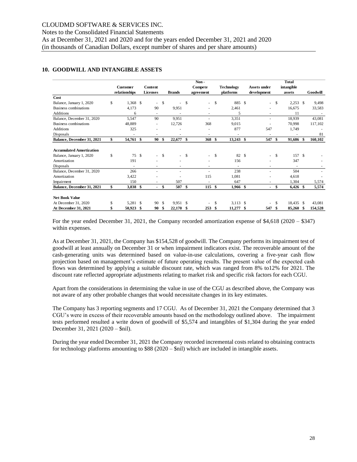Notes to the Consolidated Financial Statements As at December 31, 2021 and 2020 and for the years ended December 31, 2021 and 2020

(in thousands of Canadian Dollars, except number of shares and per share amounts)

## **10. GOODWILL AND INTANGIBLE ASSETS**

|                                 |                 |    |                          |      |                          |               | Non-      |               |             |     |              |              | <b>Total</b> |          |
|---------------------------------|-----------------|----|--------------------------|------|--------------------------|---------------|-----------|---------------|-------------|-----|--------------|--------------|--------------|----------|
|                                 | <b>Customer</b> |    | Content                  |      |                          |               | Compete   |               | Technology  |     | Assets under |              | intangible   |          |
|                                 | relationships   |    | <b>Licenses</b>          |      | <b>Brands</b>            |               | agreement |               | platforms   |     | development  |              | assets       | Goodwill |
| Cost                            |                 |    |                          |      |                          |               |           |               |             |     |              |              |              |          |
| Balance, January 1, 2020        | \$<br>1,368 \$  |    | $\sim$                   | \$   | $\sim$                   | <sup>\$</sup> | $\sim$    | $\mathbb{S}$  | 885 \$      |     | $\sim$       | $\mathbf{s}$ | $2,253$ \$   | 9,498    |
| Business combinations           | 4,173           |    | 90                       |      | 9,951                    |               |           |               | 2,461       |     |              |              | 16,675       | 33,583   |
| Additions                       | 6               |    | $\overline{\phantom{a}}$ |      |                          |               |           |               | 5           |     |              |              | 11           |          |
| Balance, December 31, 2020      | 5,547           |    | 90                       |      | 9.951                    |               | ٠         |               | 3,351       |     | ۰            |              | 18,939       | 43,081   |
| Business combinations           | 48,889          |    | ٠                        |      | 12,726                   |               | 368       |               | 9,015       |     |              |              | 70,998       | 117,102  |
| <b>Additions</b>                | 325             |    | ٠                        |      |                          |               |           |               | 877         |     | 547          |              | 1,749        |          |
| Disposals                       | ٠               |    |                          |      |                          |               |           |               |             |     | ٠            |              |              | 81       |
| Balance, December 31, 2021      | \$<br>54,761 \$ |    | 90                       | \$   | 22,677                   | -S            | 368 \$    |               | $13,243$ \$ |     | 547          | \$           | 91,686 \$    | 160,102  |
|                                 |                 |    |                          |      |                          |               |           |               |             |     |              |              |              |          |
| <b>Accumulated Amortization</b> |                 |    |                          |      |                          |               |           |               |             |     |              |              |              |          |
| Balance, January 1, 2020        | \$<br>75S       |    |                          | $-5$ | $\sim$                   | $\mathcal{S}$ | $\sim$    | $\mathcal{S}$ | 82 \$       |     |              | $-5$         | 157 \$       |          |
| Amortization                    | 191             |    | ٠                        |      |                          |               |           |               | 156         |     | ٠            |              | 347          |          |
| Disposals                       |                 |    |                          |      |                          |               |           |               |             |     |              |              |              |          |
| Balance, December 31, 2020      | 266             |    | ٠                        |      | $\overline{\phantom{a}}$ |               | ٠         |               | 238         |     | ۰            |              | 504          |          |
| Amortization                    | 3,422           |    |                          |      |                          |               | 115       |               | 1,081       |     |              |              | 4,618        |          |
| Impairment                      | 150             |    | $\overline{\phantom{0}}$ |      | 507                      |               |           |               | 647         |     | ۰            |              | 1,304        | 5,574    |
| Balance, December 31, 2021      | \$<br>3,838     | Ŝ. | $\overline{\phantom{a}}$ | \$   | 507                      | \$            | 115S      |               | $1,966$ \$  |     | $\sim$       | Ŝ.           | $6,426$ \$   | 5,574    |
| <b>Net Book Value</b>           |                 |    |                          |      |                          |               |           |               |             |     |              |              |              |          |
| At December 31, 2020            | \$<br>5,281 \$  |    | 90 \$                    |      | 9,951 \$                 |               | ٠         | \$            | $3,113$ \$  |     |              | <b>S</b>     | 18.435 \$    | 43,081   |
| At December 31, 2021            | \$<br>50,923    | \$ | 90                       | \$   | 22.170S                  |               | 253S      |               | 11,277      | -\$ | 547          | \$           | 85,260 \$    | 154.528  |

For the year ended December 31, 2021, the Company recorded amortization expense of \$4,618 (2020 – \$347) within expenses.

As at December 31, 2021, the Company has \$154,528 of goodwill. The Company performs its impairment test of goodwill at least annually on December 31 or when impairment indicators exist. The recoverable amount of the cash-generating units was determined based on value-in-use calculations, covering a five-year cash flow projection based on management's estimate of future operating results. The present value of the expected cash flows was determined by applying a suitable discount rate, which was ranged from 8% to12% for 2021. The discount rate reflected appropriate adjustments relating to market risk and specific risk factors for each CGU.

Apart from the considerations in determining the value in use of the CGU as described above, the Company was not aware of any other probable changes that would necessitate changes in its key estimates.

The Company has 3 reporting segments and 17 CGU. As of December 31, 2021 the Company determined that 3 CGU's were in excess of their recoverable amounts based on the methodology outlined above. The impairment tests performed resulted a write down of goodwill of \$5,574 and intangibles of \$1,304 during the year ended December 31, 2021 (2020 – \$nil).

During the year ended December 31, 2021 the Company recorded incremental costs related to obtaining contracts for technology platforms amounting to \$88 (2020 – \$nil) which are included in intangible assets.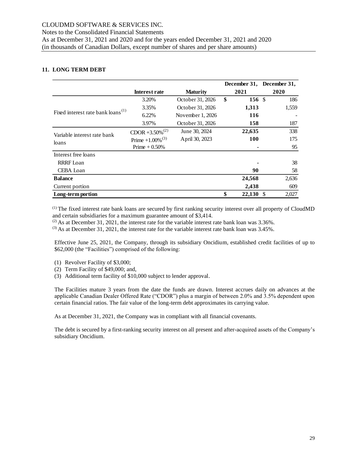## Notes to the Consolidated Financial Statements

As at December 31, 2021 and 2020 and for the years ended December 31, 2021 and 2020 (in thousands of Canadian Dollars, except number of shares and per share amounts)

## **11. LONG TERM DEBT**

|                                                            |                             |                  | December 31, December 31, |       |
|------------------------------------------------------------|-----------------------------|------------------|---------------------------|-------|
|                                                            | <b>Interest rate</b>        | <b>Maturity</b>  | 2021                      | 2020  |
|                                                            | 3.20%                       | October 31, 2026 | \$<br>156S                | 186   |
|                                                            | 3.35%                       | October 31, 2026 | 1,313                     | 1,559 |
| Fixed interest rate bank loans <sup><math>(1)</math></sup> | 6.22%                       | November 1, 2026 | 116                       |       |
|                                                            | 3.97%                       | October 31, 2026 | 158                       | 187   |
|                                                            | CDOR +3.50% <sup>(2)</sup>  | June 30, 2024    | 22,635                    | 338   |
| Variable interest rate bank<br>loans                       | Prime +1.00% <sup>(3)</sup> | April 30, 2023   | <b>100</b>                | 175   |
|                                                            | Prime $+0.50\%$             |                  |                           | 95    |
| Interest free loans                                        |                             |                  |                           |       |
| RRRF Loan                                                  |                             |                  |                           | 38    |
| CEBA Loan                                                  |                             |                  | 90                        | 58    |
| <b>Balance</b>                                             |                             |                  | 24,568                    | 2,636 |
| Current portion                                            |                             |                  | 2,438                     | 609   |
| Long-term portion                                          |                             |                  | \$<br>$22,130$ \$         | 2,027 |

(1) The fixed interest rate bank loans are secured by first ranking security interest over all property of CloudMD and certain subsidiaries for a maximum guarantee amount of \$3,414.

 $^{(2)}$  As at December 31, 2021, the interest rate for the variable interest rate bank loan was 3.36%.

 $^{(3)}$  As at December 31, 2021, the interest rate for the variable interest rate bank loan was 3.45%.

Effective June 25, 2021, the Company, through its subsidiary Oncidium, established credit facilities of up to \$62,000 (the "Facilities") comprised of the following:

- (1) Revolver Facility of \$3,000;
- (2) Term Facility of \$49,000; and,
- (3) Additional term facility of \$10,000 subject to lender approval.

The Facilities mature 3 years from the date the funds are drawn. Interest accrues daily on advances at the applicable Canadian Dealer Offered Rate ("CDOR") plus a margin of between 2.0% and 3.5% dependent upon certain financial ratios. The fair value of the long-term debt approximates its carrying value.

As at December 31, 2021, the Company was in compliant with all financial covenants.

The debt is secured by a first-ranking security interest on all present and after-acquired assets of the Company's subsidiary Oncidium.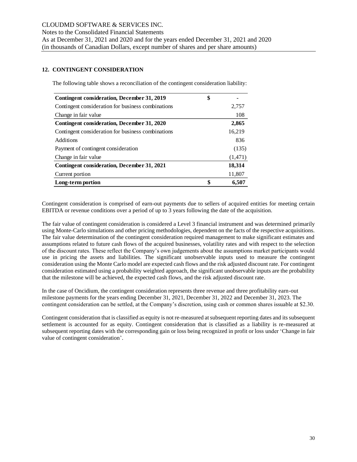## **12. CONTINGENT CONSIDERATION**

The following table shows a reconciliation of the contingent consideration liability:

| <b>Contingent consideration, December 31, 2019</b> | \$          |
|----------------------------------------------------|-------------|
| Contingent consideration for business combinations | 2,757       |
| Change in fair value                               | 108         |
| <b>Contingent consideration, December 31, 2020</b> | 2,865       |
| Contingent consideration for business combinations | 16,219      |
| Additions                                          | 836         |
| Payment of contingent consideration                | (135)       |
| Change in fair value                               | (1,471)     |
| <b>Contingent consideration, December 31, 2021</b> | 18,314      |
| Current portion                                    | 11,807      |
| Long-term portion                                  | \$<br>6,507 |

Contingent consideration is comprised of earn-out payments due to sellers of acquired entities for meeting certain EBITDA or revenue conditions over a period of up to 3 years following the date of the acquisition.

The fair value of contingent consideration is considered a Level 3 financial instrument and was determined primarily using Monte-Carlo simulations and other pricing methodologies, dependent on the facts of the respective acquisitions. The fair value determination of the contingent consideration required management to make significant estimates and assumptions related to future cash flows of the acquired businesses, volatility rates and with respect to the selection of the discount rates. These reflect the Company's own judgements about the assumptions market participants would use in pricing the assets and liabilities. The significant unobservable inputs used to measure the contingent consideration using the Monte Carlo model are expected cash flows and the risk adjusted discount rate. For contingent consideration estimated using a probability weighted approach, the significant unobservable inputs are the probability that the milestone will be achieved, the expected cash flows, and the risk adjusted discount rate.

In the case of Oncidium, the contingent consideration represents three revenue and three profitability earn-out milestone payments for the years ending December 31, 2021, December 31, 2022 and December 31, 2023. The contingent consideration can be settled, at the Company's discretion, using cash or common shares issuable at \$2.30.

Contingent consideration that is classified as equity is not re-measured at subsequent reporting dates and its subsequent settlement is accounted for as equity. Contingent consideration that is classified as a liability is re-measured at subsequent reporting dates with the corresponding gain or loss being recognized in profit or loss under 'Change in fair value of contingent consideration'.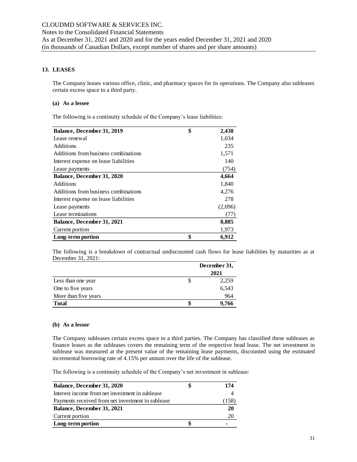## **13. LEASES**

The Company leases various office, clinic, and pharmacy spaces for its operations. The Company also subleases certain excess space to a third party.

#### **(a) As a lessee**

The following is a continuity schedule of the Company's lease liabilities:

| Balance, December 31, 2019            | \$<br>2,438 |
|---------------------------------------|-------------|
| Lease renewal                         | 1,034       |
| Additions                             | 235         |
| Additions from business combinations  | 1,571       |
| Interest expense on lease liabilities | 140         |
| Lease payments                        | (754)       |
| Balance, December 31, 2020            | 4,664       |
| Additions                             | 1,840       |
| Additions from business combinations  | 4,276       |
| Interest expense on lease liabilities | 278         |
| Lease payments                        | (2,096)     |
| Lease terminations                    | (77)        |
| Balance, December 31, 2021            | 8,885       |
| Current portion                       | 1,973       |
| Long-term portion                     | \$<br>6,912 |

The following is a breakdown of contractual undiscounted cash flows for lease liabilities by maturities as at December 31, 2021:

|                      | December 31, |
|----------------------|--------------|
|                      | 2021         |
| Less than one year   | 2,259        |
| One to five years    | 6,543        |
| More than five years | 964          |
| <b>Total</b>         | 9,766        |

#### **(b) As a lessor**

The Company subleases certain excess space to a third parties. The Company has classified these subleases as finance leases as the subleases covers the remaining term of the respective head lease. The net investment in sublease was measured at the present value of the remaining lease payments, discounted using the estimated incremental borrowing rate of 4.15% per annum over the life of the sublease.

The following is a continuity schedule of the Company's net investment in sublease:

| <b>Balance, December 31, 2020</b>                 | 174  |
|---------------------------------------------------|------|
| Interest income from net investment in sublease   |      |
| Payments received from net investment in sublease | 158) |
| Balance, December 31, 2021                        | 20   |
| Current portion                                   | 20   |
| Long-term portion                                 |      |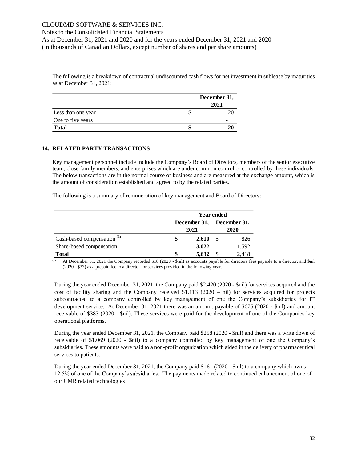The following is a breakdown of contractual undiscounted cash flows for net investment in sublease by maturities as at December 31, 2021:

|                    | December 31,<br>2021 |
|--------------------|----------------------|
| Less than one year |                      |
| One to five years  | ۰                    |
| <b>Total</b>       | 20                   |

## **14. RELATED PARTY TRANSACTIONS**

Key management personnel include include the Company's Board of Directors, members of the senior executive team, close family members, and enterprises which are under common control or controlled by these individuals. The below transactions are in the normal course of business and are measured at the exchange amount, which is the amount of consideration established and agreed to by the related parties.

The following is a summary of remuneration of key management and Board of Directors:

|                                        | <b>Year ended</b> |       |      |              |  |
|----------------------------------------|-------------------|-------|------|--------------|--|
|                                        | December 31,      |       |      | December 31, |  |
|                                        | 2021              |       | 2020 |              |  |
| Cash-based compensation <sup>(1)</sup> | \$                | 2,610 |      | 826          |  |
| Share-based compensation               |                   | 3,022 |      | 1,592        |  |
| <b>Total</b>                           |                   | 5.632 |      | 2,418        |  |

At December 31, 2021 the Company recorded \$18 (2020 - \$nil) as accounts payable for directors fees payable to a director, and \$nil (2020 - \$37) as a prepaid fee to a director for services provided in the following year.

During the year ended December 31, 2021, the Company paid \$2,420 (2020 - \$nil) for services acquired and the cost of facility sharing and the Company received \$1,113 (2020 – nil) for services acquired for projects subcontracted to a company controlled by key management of one the Company's subsidiaries for IT development service. At December 31, 2021 there was an amount payable of \$675 (2020 - \$nil) and amount receivable of \$383 (2020 - \$nil). These services were paid for the development of one of the Companies key operational platforms.

During the year ended December 31, 2021, the Company paid \$258 (2020 - \$nil) and there was a write down of receivable of \$1,069 (2020 - \$nil) to a company controlled by key management of one the Company's subsidiaries. These amounts were paid to a non-profit organization which aided in the delivery of pharmaceutical services to patients.

During the year ended December 31, 2021, the Company paid \$161 (2020 - \$nil) to a company which owns 12.5% of one of the Company's subsidiaries. The payments made related to continued enhancement of one of our CMR related technologies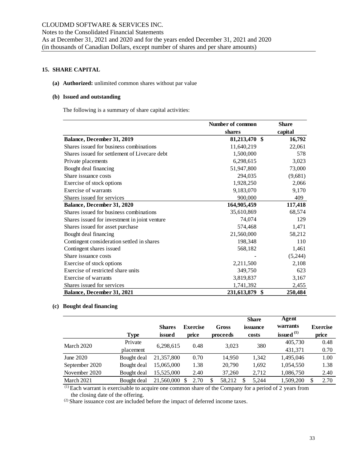## **15. SHARE CAPITAL**

## **(a) Authorized:** unlimited common shares without par value

## **(b) Issued and outstanding**

The following is a summary of share capital activities:

|                                               | Number of common | <b>Share</b>  |
|-----------------------------------------------|------------------|---------------|
|                                               | shares           | capital       |
| Balance, December 31, 2019                    | 81,213,470 \$    | 16,792        |
| Shares issued for business combinations       | 11,640,219       | 22,061        |
| Shares issued for settlement of Livecare debt | 1,500,000        | 578           |
| Private placements                            | 6,298,615        | 3,023         |
| Bought deal financing                         | 51,947,800       | 73,000        |
| Share issuance costs                          | 294,035          | (9,681)       |
| Exercise of stock options                     | 1,928,250        | 2,066         |
| Exercise of warrants                          | 9,183,070        | 9,170         |
| Shares issued for services                    | 900,000          | 409           |
| Balance, December 31, 2020                    | 164,905,459      | 117,418       |
| Shares issued for business combinations       | 35,610,869       | 68,574        |
| Shares issued for investment in joint venture | 74,074           | 129           |
| Shares issued for asset purchase              | 574,468          | 1,471         |
| Bought deal financing                         | 21,560,000       | 58,212        |
| Contingent consideration settled in shares    | 198,348          | 110           |
| Contingent shares issued                      | 568,182          | 1,461         |
| Share issuance costs                          |                  | (5,244)       |
| Exercise of stock options                     | 2,211,500        | 2,108         |
| Exercise of restricted share units            | 349,750          | 623           |
| Exercise of warrants                          | 3,819,837        | 3,167         |
| Shares issued for services                    | 1,741,392        | 2,455         |
| Balance, December 31, 2021                    | 231,613,879      | \$<br>250,484 |

## **(c) Bought deal financing**

|                |             |               |                 |          | <b>Share</b> | Agent        |                 |
|----------------|-------------|---------------|-----------------|----------|--------------|--------------|-----------------|
|                |             | <b>Shares</b> | <b>Exercise</b> | Gross    | issuance     | warrants     | <b>Exercise</b> |
|                | Type        | issued        | price           | proceeds | costs        | issued $(1)$ | price           |
| March 2020     | Private     | 6,298,615     | 0.48            | 3.023    | 380          | 405,730      | 0.48            |
|                | placement   |               |                 |          |              | 431,371      | 0.70            |
| June 2020      | Bought deal | 21,357,800    | 0.70            | 14.950   | 1,342        | 1,495,046    | 1.00            |
| September 2020 | Bought deal | 15,065,000    | 1.38            | 20,790   | 1,692        | 1,054,550    | 1.38            |
| November 2020  | Bought deal | 15,525,000    | 2.40            | 37,260   | 2,712        | 1,086,750    | 2.40            |
| March 2021     | Bought deal | 21,560,000    | 2.70            | 58.212   | 5.244        | 1.509.200    | 2.70<br>\$      |

 $(1)$  Each warrant is exercisable to acquire one common share of the Company for a period of 2 years from the closing date of the offering.

<sup>(2)</sup> Share issuance cost are included before the impact of deferred income taxes.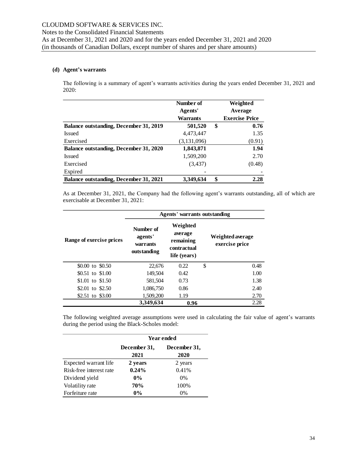## **(d) Agent's warrants**

The following is a summary of agent's warrants activities during the years ended December 31, 2021 and 2020:

|                                               | Number of<br>Agents' |    | Weighted<br>Average   |
|-----------------------------------------------|----------------------|----|-----------------------|
|                                               | <b>Warrants</b>      |    | <b>Exercise Price</b> |
| <b>Balance outstanding, December 31, 2019</b> | 501,520              | \$ | 0.76                  |
| <b>Issued</b>                                 | 4,473,447            |    | 1.35                  |
| Exercised                                     | (3, 131, 096)        |    | (0.91)                |
| Balance outstanding, December 31, 2020        | 1,843,871            |    | 1.94                  |
| <b>Issued</b>                                 | 1,509,200            |    | 2.70                  |
| Exercised                                     | (3,437)              |    | (0.48)                |
| Expired                                       |                      |    |                       |
| <b>Balance outstanding, December 31, 2021</b> | 3,349,634            | \$ | 2.28                  |

As at December 31, 2021, the Company had the following agent's warrants outstanding, all of which are exercisable at December 31, 2021:

|                          | <b>Agents' warrants outstanding</b>             |                                                                 |    |                                    |  |  |
|--------------------------|-------------------------------------------------|-----------------------------------------------------------------|----|------------------------------------|--|--|
| Range of exercise prices | Number of<br>agents'<br>warrants<br>outstanding | Weighted<br>average<br>remaining<br>contractual<br>life (vears) |    | Weighted average<br>exercise price |  |  |
| \$0.00 to \$0.50         | 22,676                                          | 0.22                                                            | \$ | 0.48                               |  |  |
| \$0.51 to \$1.00         | 149,504                                         | 0.42                                                            |    | 1.00                               |  |  |
| \$1.01 to \$1.50         | 581,504                                         | 0.73                                                            |    | 1.38                               |  |  |
| \$2.01 to \$2.50         | 1,086,750                                       | 0.86                                                            |    | 2.40                               |  |  |
| \$2.51 to \$3.00         | 1,509,200                                       | 1.19                                                            |    | 2.70                               |  |  |
|                          | 3.349.634                                       | 0.96                                                            |    | 2.28                               |  |  |

The following weighted average assumptions were used in calculating the fair value of agent's warrants during the period using the Black-Scholes model:

|                         | Year ended           |                      |  |  |
|-------------------------|----------------------|----------------------|--|--|
|                         | December 31,<br>2021 | December 31,<br>2020 |  |  |
| Expected warrant life   | 2 years              | 2 years              |  |  |
| Risk-free interest rate | 0.24%                | 0.41%                |  |  |
| Dividend yield          | $0\%$                | $0\%$                |  |  |
| Volatility rate         | 70%                  | 100%                 |  |  |
| Forfeiture rate         | $0\%$                | 0%                   |  |  |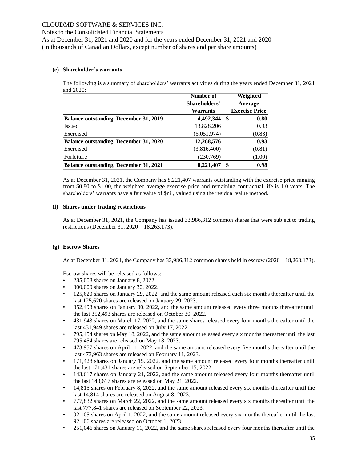#### **(e) Shareholder's warrants**

The following is a summary of shareholders' warrants activities during the years ended December 31, 2021 and 2020:

|                                               | Number of       | Weighted              |
|-----------------------------------------------|-----------------|-----------------------|
|                                               | Shareholders'   | Average               |
|                                               | <b>Warrants</b> | <b>Exercise Price</b> |
| <b>Balance outstanding, December 31, 2019</b> | 4,492,344       | 0.80<br>-\$           |
| Issued                                        | 13,828,206      | 0.93                  |
| Exercised                                     | (6,051,974)     | (0.83)                |
| <b>Balance outstanding, December 31, 2020</b> | 12,268,576      | 0.93                  |
| Exercised                                     | (3,816,400)     | (0.81)                |
| Forfeiture                                    | (230,769)       | (1.00)                |
| <b>Balance outstanding, December 31, 2021</b> | 8,221,407       | 0.98<br>S             |

As at December 31, 2021, the Company has 8,221,407 warrants outstanding with the exercise price ranging from \$0.80 to \$1.00, the weighted average exercise price and remaining contractual life is 1.0 years. The shareholders' warrants have a fair value of \$nil, valued using the residual value method.

#### **(f) Shares under trading restrictions**

As at December 31, 2021, the Company has issued 33,986,312 common shares that were subject to trading restrictions (December 31, 2020 – 18,263,173).

## **(g) Escrow Shares**

As at December 31, 2021, the Company has 33,986,312 common shares held in escrow (2020 – 18,263,173).

Escrow shares will be released as follows:

- 285,008 shares on January 8, 2022.
- 300,000 shares on January 30, 2022.
- 125,620 shares on January 29, 2022, and the same amount released each six months thereafter until the last 125,620 shares are released on January 29, 2023.
- 352,493 shares on January 30, 2022, and the same amount released every three months thereafter until the last 352,493 shares are released on October 30, 2022.
- 431,943 shares on March 17, 2022, and the same shares released every four months thereafter until the last 431,949 shares are released on July 17, 2022.
- 795,454 shares on May 18, 2022, and the same amount released every six months thereafter until the last 795,454 shares are released on May 18, 2023.
- 473,957 shares on April 11, 2022, and the same amount released every five months thereafter until the last 473,963 shares are released on February 11, 2023.
- 171,428 shares on January 15, 2022, and the same amount released every four months thereafter until the last 171,431 shares are released on September 15, 2022.
- 143,617 shares on January 21, 2022, and the same amount released every four months thereafter until the last 143,617 shares are released on May 21, 2022.
- 14,815 shares on February 8, 2022, and the same amount released every six months thereafter until the last 14,814 shares are released on August 8, 2023.
- 777,832 shares on March 22, 2022, and the same amount released every six months thereafter until the last 777,841 shares are released on September 22, 2023.
- 92,105 shares on April 1, 2022, and the same amount released every six months thereafter until the last 92,106 shares are released on October 1, 2023.
- 251,046 shares on January 11, 2022, and the same shares released every four months thereafter until the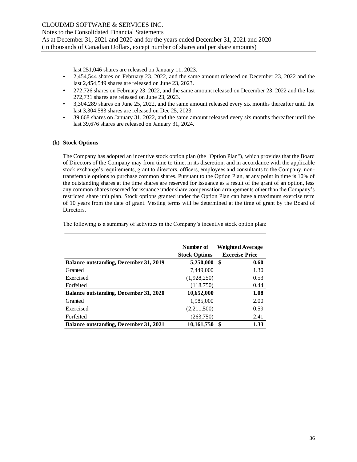Notes to the Consolidated Financial Statements

As at December 31, 2021 and 2020 and for the years ended December 31, 2021 and 2020 (in thousands of Canadian Dollars, except number of shares and per share amounts)

last 251,046 shares are released on January 11, 2023.

- 2,454,544 shares on February 23, 2022, and the same amount released on December 23, 2022 and the last 2,454,549 shares are released on June 23, 2023.
- 272,726 shares on February 23, 2022, and the same amount released on December 23, 2022 and the last 272,731 shares are released on June 23, 2023.
- 3,304,289 shares on June 25, 2022, and the same amount released every six months thereafter until the last 3,304,583 shares are released on Dec 25, 2023.
- 39,668 shares on January 31, 2022, and the same amount released every six months thereafter until the last 39,676 shares are released on January 31, 2024.

## **(h) Stock Options**

The Company has adopted an incentive stock option plan (the "Option Plan"), which provides that the Board of Directors of the Company may from time to time, in its discretion, and in accordance with the applicable stock exchange's requirements, grant to directors, officers, employees and consultants to the Company, nontransferable options to purchase common shares. Pursuant to the Option Plan, at any point in time is 10% of the outstanding shares at the time shares are reserved for issuance as a result of the grant of an option, less any common shares reserved for issuance under share compensation arrangements other than the Company's restricted share unit plan. Stock options granted under the Option Plan can have a maximum exercise term of 10 years from the date of grant. Vesting terms will be determined at the time of grant by the Board of Directors.

The following is a summary of activities in the Company's incentive stock option plan:

|                                               | Number of<br><b>Stock Options</b> | <b>Weighted Average</b><br><b>Exercise Price</b> |
|-----------------------------------------------|-----------------------------------|--------------------------------------------------|
| <b>Balance outstanding, December 31, 2019</b> | 5,250,000                         | \$.<br>0.60                                      |
| Granted                                       | 7,449,000                         | 1.30                                             |
| Exercised                                     | (1,928,250)                       | 0.53                                             |
| Forfeited                                     | (118,750)                         | 0.44                                             |
| <b>Balance outstanding, December 31, 2020</b> | 10,652,000                        | 1.08                                             |
| Granted                                       | 1,985,000                         | 2.00                                             |
| Exercised                                     | (2,211,500)                       | 0.59                                             |
| Forfeited                                     | (263,750)                         | 2.41                                             |
| <b>Balance outstanding, December 31, 2021</b> | 10,161,750                        | \$<br>1.33                                       |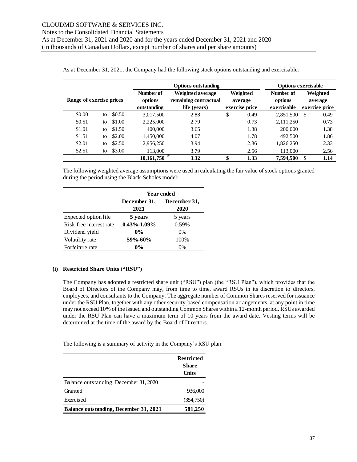|                          |    |        |                                     | <b>Options outstanding</b>                                |                                       | <b>Options exercisable</b>          |                                       |
|--------------------------|----|--------|-------------------------------------|-----------------------------------------------------------|---------------------------------------|-------------------------------------|---------------------------------------|
| Range of exercise prices |    |        | Number of<br>options<br>outstanding | Weighted average<br>remaining contractual<br>life (years) | Weighted<br>average<br>exercise price | Number of<br>options<br>exercisable | Weighted<br>average<br>exercise price |
| \$0.00                   | to | \$0.50 | 3,017,500                           | 2.88                                                      | \$<br>0.49                            | 2,851,500                           | \$<br>0.49                            |
| \$0.51                   | to | \$1.00 | 2,225,000                           | 2.79                                                      | 0.73                                  | 2,111,250                           | 0.73                                  |
| \$1.01                   | to | \$1.50 | 400,000                             | 3.65                                                      | 1.38                                  | 200,000                             | 1.38                                  |
| \$1.51                   | to | \$2.00 | 1,450,000                           | 4.07                                                      | 1.78                                  | 492,500                             | 1.86                                  |
| \$2.01                   | to | \$2.50 | 2,956,250                           | 3.94                                                      | 2.36                                  | 1,826,250                           | 2.33                                  |
| \$2.51                   | to | \$3.00 | 113,000                             | 3.79                                                      | 2.56                                  | 113,000                             | 2.56                                  |
|                          |    |        | 10,161,750                          | 3.32                                                      | 1.33                                  | 7,594,500                           | \$<br>1.14                            |

As at December 31, 2021, the Company had the following stock options outstanding and exercisable:

The following weighted average assumptions were used in calculating the fair value of stock options granted during the period using the Black-Scholes model:

|                         | Year ended           |                      |  |  |
|-------------------------|----------------------|----------------------|--|--|
|                         | December 31,<br>2021 | December 31,<br>2020 |  |  |
| Expected option life    | 5 years              | 5 years              |  |  |
| Risk-free interest rate | $0.43\% - 1.09\%$    | 0.59%                |  |  |
| Dividend yield          | $0\%$                | $0\%$                |  |  |
| Volatility rate         | 59%-60%              | 100%                 |  |  |
| Forfeiture rate         | $0\%$                | 0%                   |  |  |

## **(i) Restricted Share Units ("RSU")**

The Company has adopted a restricted share unit ("RSU") plan (the "RSU Plan"), which provides that the Board of Directors of the Company may, from time to time, award RSUs in its discretion to directors, employees, and consultants to the Company. The aggregate number of Common Shares reserved for issuance under the RSU Plan, together with any other security-based compensation arrangements, at any point in time may not exceed 10% of the issued and outstanding Common Shares within a 12-month period. RSUs awarded under the RSU Plan can have a maximum term of 10 years from the award date. Vesting terms will be determined at the time of the award by the Board of Directors.

The following is a summary of activity in the Company's RSU plan:

|                                        | <b>Restricted</b><br><b>Share</b><br>Units |
|----------------------------------------|--------------------------------------------|
| Balance outstanding, December 31, 2020 |                                            |
| Granted                                | 936,000                                    |
| Exercised                              | (354,750)                                  |
| Balance outstanding, December 31, 2021 | 581,250                                    |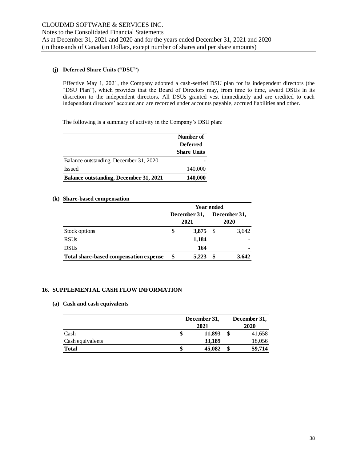## **(j) Deferred Share Units ("DSU")**

Effective May 1, 2021, the Company adopted a cash-settled DSU plan for its independent directors (the "DSU Plan"), which provides that the Board of Directors may, from time to time, award DSUs in its discretion to the independent directors. All DSUs granted vest immediately and are credited to each independent directors' account and are recorded under accounts payable, accrued liabilities and other.

The following is a summary of activity in the Company's DSU plan:

|                                               | Number of          |
|-----------------------------------------------|--------------------|
|                                               | <b>Deferred</b>    |
|                                               | <b>Share Units</b> |
| Balance outstanding, December 31, 2020        |                    |
| <b>Issued</b>                                 | 140,000            |
| <b>Balance outstanding, December 31, 2021</b> | 140,000            |

## **(k) Share-based compensation**

|                                        |                      | Year ended           |       |  |
|----------------------------------------|----------------------|----------------------|-------|--|
|                                        | December 31,<br>2021 | December 31,<br>2020 |       |  |
| Stock options                          | \$<br>3,875          | -S                   | 3,642 |  |
| <b>RSUs</b>                            | 1,184                |                      |       |  |
| <b>DSUs</b>                            | 164                  |                      |       |  |
| Total share-based compensation expense | \$<br>5.223          | S                    | 3,642 |  |

## **16. SUPPLEMENTAL CASH FLOW INFORMATION**

## **(a) Cash and cash equivalents**

|                  | December 31,<br>2021 | December 31,<br>2020 |  |  |
|------------------|----------------------|----------------------|--|--|
| Cash             | 11,893               | 41,658               |  |  |
| Cash equivalents | 33,189               | 18,056               |  |  |
| <b>Total</b>     | 45,082               | 59,714               |  |  |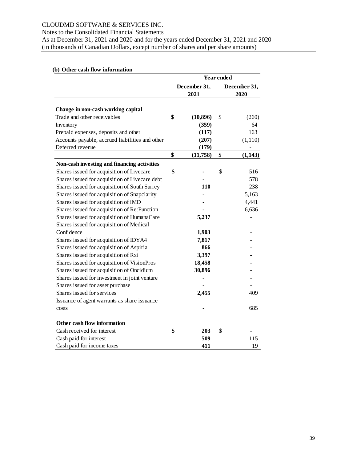Notes to the Consolidated Financial Statements

As at December 31, 2021 and 2020 and for the years ended December 31, 2021 and 2020 (in thousands of Canadian Dollars, except number of shares and per share amounts)

## **(b) Other cash flow information**

|                                                 | Year ended           |                      |
|-------------------------------------------------|----------------------|----------------------|
|                                                 | December 31,<br>2021 | December 31,<br>2020 |
|                                                 |                      |                      |
| Change in non-cash working capital              |                      |                      |
| Trade and other receivables                     | \$<br>(10, 896)      | \$<br>(260)          |
| Inventory                                       | (359)                | 64                   |
| Prepaid expenses, deposits and other            | (117)                | 163                  |
| Accounts payable, accrued liabilities and other | (207)                | (1,110)              |
| Deferred revenue                                | (179)                |                      |
|                                                 | \$<br>(11,758)       | \$<br>(1,143)        |
| Non-cash investing and financing activities     |                      |                      |
| Shares issued for acquisition of Livecare       | \$                   | \$<br>516            |
| Shares issued for acquisition of Livecare debt  |                      | 578                  |
| Shares issued for acquisition of South Surrey   | 110                  | 238                  |
| Shares issued for acquisition of Snapclarity    |                      | 5,163                |
| Shares issued for acquisition of iMD            |                      | 4,441                |
| Shares issued for acquisition of Re: Function   |                      | 6,636                |
| Shares issued for acquisition of HumanaCare     | 5,237                |                      |
| Shares issued for acquisition of Medical        |                      |                      |
| Confidence                                      | 1,903                |                      |
| Shares issued for acquisition of IDYA4          | 7,817                |                      |
| Shares issued for acquisition of Aspiria        | 866                  |                      |
| Shares issued for acquisition of Rxi            | 3,397                |                      |
| Shares issued for acquisition of VisionPros     | 18,458               |                      |
| Shares issued for acquisition of Oncidium       | 30,896               |                      |
| Shares issued for investment in joint venture   |                      |                      |
| Shares issued for asset purchase                |                      |                      |
| Shares issued for services                      | 2,455                | 409                  |
| Issuance of agent warrants as share issuance    |                      |                      |
| costs                                           |                      | 685                  |
| Other cash flow information                     |                      |                      |
| Cash received for interest                      | \$<br>203            | \$                   |
| Cash paid for interest                          | 509                  | 115                  |
| Cash paid for income taxes                      | 411                  | 19                   |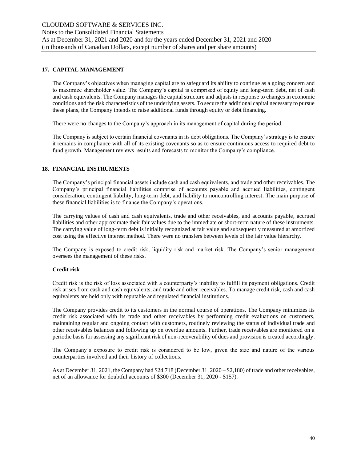#### **17. CAPITAL MANAGEMENT**

The Company's objectives when managing capital are to safeguard its ability to continue as a going concern and to maximize shareholder value. The Company's capital is comprised of equity and long-term debt, net of cash and cash equivalents. The Company manages the capital structure and adjusts in response to changes in economic conditions and the risk characteristics of the underlying assets. To secure the additional capital necessary to pursue these plans, the Company intends to raise additional funds through equity or debt financing.

There were no changes to the Company's approach in its management of capital during the period.

The Company is subject to certain financial covenants in its debt obligations. The Company's strategy is to ensure it remains in compliance with all of its existing covenants so as to ensure continuous access to required debt to fund growth. Management reviews results and forecasts to monitor the Company's compliance.

## **18. FINANCIAL INSTRUMENTS**

The Company's principal financial assets include cash and cash equivalents, and trade and other receivables. The Company's principal financial liabilities comprise of accounts payable and accrued liabilities, contingent consideration, contingent liability, long-term debt, and liability to noncontrolling interest. The main purpose of these financial liabilities is to finance the Company's operations.

The carrying values of cash and cash equivalents, trade and other receivables, and accounts payable, accrued liabilities and other approximate their fair values due to the immediate or short-term nature of these instruments. The carrying value of long-term debt is initially recognized at fair value and subsequently measured at amortized cost using the effective interest method. There were no transfers between levels of the fair value hierarchy.

The Company is exposed to credit risk, liquidity risk and market risk. The Company's senior management oversees the management of these risks.

#### **Credit risk**

Credit risk is the risk of loss associated with a counterparty's inability to fulfill its payment obligations. Credit risk arises from cash and cash equivalents, and trade and other receivables. To manage credit risk, cash and cash equivalents are held only with reputable and regulated financial institutions.

The Company provides credit to its customers in the normal course of operations. The Company minimizes its credit risk associated with its trade and other receivables by performing credit evaluations on customers, maintaining regular and ongoing contact with customers, routinely reviewing the status of individual trade and other receivables balances and following up on overdue amounts. Further, trade receivables are monitored on a periodic basis for assessing any significant risk of non-recoverability of dues and provision is created accordingly.

The Company's exposure to credit risk is considered to be low, given the size and nature of the various counterparties involved and their history of collections.

As at December 31, 2021, the Company had \$24,718 (December 31, 2020 – \$2,180) of trade and other receivables, net of an allowance for doubtful accounts of \$300 (December 31, 2020 - \$157).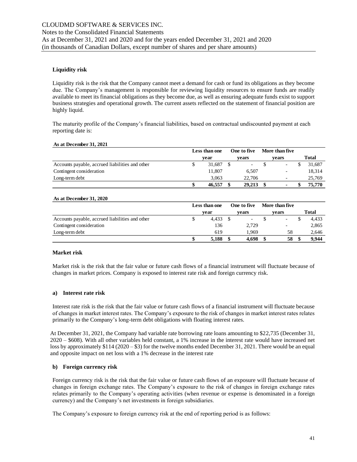## **Liquidity risk**

Liquidity risk is the risk that the Company cannot meet a demand for cash or fund its obligations as they become due. The Company's management is responsible for reviewing liquidity resources to ensure funds are readily available to meet its financial obligations as they become due, as well as ensuring adequate funds exist to support business strategies and operational growth. The current assets reflected on the statement of financial position are highly liquid.

The maturity profile of the Company's financial liabilities, based on contractual undiscounted payment at each reporting date is:

#### **As at December 31, 2021**

|                                                 | Less than one | One to five              | More than five           |              |
|-------------------------------------------------|---------------|--------------------------|--------------------------|--------------|
|                                                 | vear          | vears                    | vears                    | <b>Total</b> |
| Accounts payable, accrued liabilities and other | 31.687        | $\overline{\phantom{a}}$ | -                        | 31.687       |
| Contingent consideration                        | 11.807        | 6.507                    | $\overline{\phantom{0}}$ | 18,314       |
| Long-term debt                                  | 3.063         | 22,706                   | -                        | 25,769       |
|                                                 | 46.557        | 29.213                   | ٠                        | 75.770       |

#### **As at December 31, 2020**

|                                                 | Less than one |       | One to five              | More than five |                          |  |       |
|-------------------------------------------------|---------------|-------|--------------------------|----------------|--------------------------|--|-------|
|                                                 |               | vear  | vears                    |                | vears                    |  | Total |
| Accounts payable, accrued liabilities and other |               | 4.433 | $\overline{\phantom{a}}$ |                | -                        |  | 4.433 |
| Contingent consideration                        |               | 136   | 2.729                    |                | $\overline{\phantom{0}}$ |  | 2,865 |
| Long-term debt                                  |               | 619   | 1.969                    |                | 58                       |  | 2,646 |
|                                                 |               | 5,188 | 4,698                    |                | 58                       |  | 9.944 |

#### **Market risk**

Market risk is the risk that the fair value or future cash flows of a financial instrument will fluctuate because of changes in market prices. Company is exposed to interest rate risk and foreign currency risk.

#### **a) Interest rate risk**

Interest rate risk is the risk that the fair value or future cash flows of a financial instrument will fluctuate because of changes in market interest rates. The Company's exposure to the risk of changes in market interest rates relates primarily to the Company's long-term debt obligations with floating interest rates.

At December 31, 2021, the Company had variable rate borrowing rate loans amounting to \$22,735 (December 31, 2020 – \$608). With all other variables held constant, a 1% increase in the interest rate would have increased net loss by approximately \$114 (2020 – \$3) for the twelve months ended December 31, 2021. There would be an equal and opposite impact on net loss with a 1% decrease in the interest rate

#### **b) Foreign currency risk**

Foreign currency risk is the risk that the fair value or future cash flows of an exposure will fluctuate because of changes in foreign exchange rates. The Company's exposure to the risk of changes in foreign exchange rates relates primarily to the Company's operating activities (when revenue or expense is denominated in a foreign currency) and the Company's net investments in foreign subsidiaries.

The Company's exposure to foreign currency risk at the end of reporting period is as follows: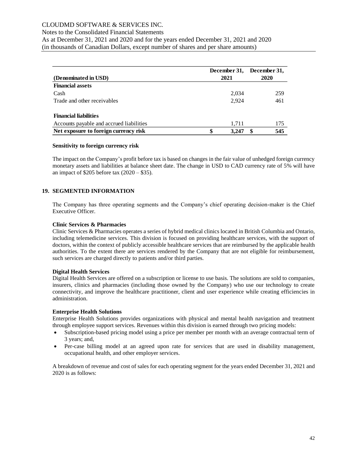Notes to the Consolidated Financial Statements

As at December 31, 2021 and 2020 and for the years ended December 31, 2021 and 2020 (in thousands of Canadian Dollars, except number of shares and per share amounts)

|                                          | December 31, | December 31, |
|------------------------------------------|--------------|--------------|
| (Denominated in USD)                     | 2021         | <b>2020</b>  |
| <b>Financial assets</b>                  |              |              |
| Cash                                     | 2.034        | 259          |
| Trade and other receivables              | 2.924        | 461          |
| <b>Financial liabilities</b>             |              |              |
| Accounts payable and accrued liabilities | 1.711        | 175          |
| Net exposure to foreign currency risk    | \$<br>3.247  | 545          |

#### **Sensitivity to foreign currency risk**

The impact on the Company's profit before tax is based on changes in the fair value of unhedged foreign currency monetary assets and liabilities at balance sheet date. The change in USD to CAD currency rate of 5% will have an impact of  $$205$  before tax  $(2020 - $35)$ .

## **19. SEGMENTED INFORMATION**

The Company has three operating segments and the Company's chief operating decision-maker is the Chief Executive Officer.

## **Clinic Services & Pharmacies**

Clinic Services & Pharmacies operates a series of hybrid medical clinics located in British Columbia and Ontario, including telemedicine services. This division is focused on providing healthcare services, with the support of doctors, within the context of publicly accessible healthcare services that are reimbursed by the applicable health authorities. To the extent there are services rendered by the Company that are not eligible for reimbursement, such services are charged directly to patients and/or third parties.

## **Digital Health Services**

Digital Health Services are offered on a subscription or license to use basis. The solutions are sold to companies, insurers, clinics and pharmacies (including those owned by the Company) who use our technology to create connectivity, and improve the healthcare practitioner, client and user experience while creating efficiencies in administration.

## **Enterprise Health Solutions**

Enterprise Health Solutions provides organizations with physical and mental health navigation and treatment through employee support services. Revenues within this division is earned through two pricing models:

- Subscription-based pricing model using a price per member per month with an average contractual term of 3 years; and,
- Per-case billing model at an agreed upon rate for services that are used in disability management, occupational health, and other employer services.

A breakdown of revenue and cost of sales for each operating segment for the years ended December 31, 2021 and 2020 is as follows: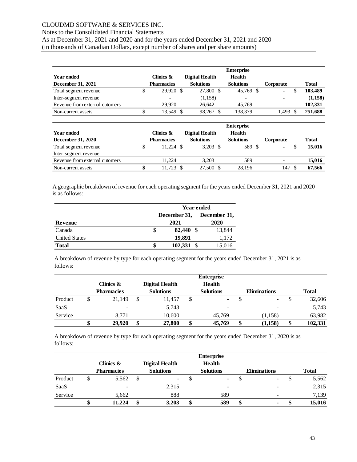Notes to the Consolidated Financial Statements

As at December 31, 2021 and 2020 and for the years ended December 31, 2021 and 2020 (in thousands of Canadian Dollars, except number of shares and per share amounts)

|                                |                          |                  | <b>Enterprise</b>        |           |              |
|--------------------------------|--------------------------|------------------|--------------------------|-----------|--------------|
| Year ended                     | Clinics $\&$             | Digital Health   | Health                   |           |              |
| December 31, 2021              | <b>Pharmacies</b>        | <b>Solutions</b> | <b>Solutions</b>         | Corporate | <b>Total</b> |
| Total segment revenue          | 29.920 \$                | 27,800 \$        | 45,769 \$                | -         | 103,489      |
| Inter-segment revenue          | $\overline{\phantom{a}}$ | (1, 158)         | $\overline{\phantom{0}}$ | -         | (1,158)      |
| Revenue from external cutomers | 29.920                   | 26.642           | 45,769                   |           | 102,331      |
| Non-current assets             | 13.549                   | 98.267           | 138,379                  | 1.493     | 251,688      |

|                                |  |                          |  |                          |  | <b>Enterprise</b> |                          |              |
|--------------------------------|--|--------------------------|--|--------------------------|--|-------------------|--------------------------|--------------|
| <b>Year ended</b>              |  | Clinics $\&$             |  | <b>Digital Health</b>    |  | Health            |                          |              |
| December 31, 2020              |  | <b>Pharmacies</b>        |  | <b>Solutions</b>         |  | <b>Solutions</b>  | Corporate                | <b>Total</b> |
| Total segment revenue          |  | 11.224                   |  | $3,203$ \$               |  | 589 \$            | -                        | 15,016       |
| Inter-segment revenue          |  | $\overline{\phantom{0}}$ |  | $\overline{\phantom{0}}$ |  |                   | -                        |              |
| Revenue from external cutomers |  | 11.224                   |  | 3.203                    |  | 589               | $\overline{\phantom{0}}$ | 15,016       |
| Non-current assets             |  | 11.723                   |  | 27,500 \$                |  | 28.196            | 147                      | 67.566       |

A geographic breakdown of revenue for each operating segment for the years ended December 31, 2021 and 2020 is as follows:

|                      | Year ended |                              |      |        |  |  |  |  |  |
|----------------------|------------|------------------------------|------|--------|--|--|--|--|--|
|                      |            | December 31,<br>December 31, |      |        |  |  |  |  |  |
| Revenue              |            | 2021                         | 2020 |        |  |  |  |  |  |
| Canada               | \$         | 82,440 \$                    |      | 13,844 |  |  |  |  |  |
| <b>United States</b> |            | 19,891                       |      | 1,172  |  |  |  |  |  |
| <b>Total</b>         |            | $102,331$ \$                 |      | 15,016 |  |  |  |  |  |

A breakdown of revenue by type for each operating segment for the years ended December 31, 2021 is as follows:

|         |                   |                  | <b>Enterprise</b>        |   |                     |               |
|---------|-------------------|------------------|--------------------------|---|---------------------|---------------|
|         | Clinics $\&$      | Digital Health   | <b>Health</b>            |   |                     |               |
|         | <b>Pharmacies</b> | <b>Solutions</b> | <b>Solutions</b>         |   | <b>Eliminations</b> | <b>Total</b>  |
| Product | \$<br>21,149      | \$<br>11,457     | $\overline{\phantom{a}}$ |   | -                   | 32,606        |
| SaaS    |                   | 5,743            | ٠                        |   | -                   | 5,743         |
| Service | 8.771             | 10.600           | 45.769                   |   | (1,158)             | 63,982        |
|         | 29.920            | \$<br>27,800     | \$<br>45,769             | D | (1, 158)            | \$<br>102,331 |

A breakdown of revenue by type for each operating segment for the years ended December 31, 2020 is as follows:

|         | <b>Enterprise</b> |              |                  |                       |                  |                              |                     |   |              |        |
|---------|-------------------|--------------|------------------|-----------------------|------------------|------------------------------|---------------------|---|--------------|--------|
|         |                   | Clinics $\&$ |                  | <b>Digital Health</b> |                  | <b>Health</b>                |                     |   |              |        |
|         | <b>Pharmacies</b> |              | <b>Solutions</b> |                       | <b>Solutions</b> |                              | <b>Eliminations</b> |   | <b>Total</b> |        |
| Product | S                 | 5,562        |                  | -                     | \$               | $\qquad \qquad \blacksquare$ |                     | - |              | 5,562  |
| SaaS    |                   |              |                  | 2,315                 |                  | ۰                            |                     |   |              | 2,315  |
| Service |                   | 5.662        |                  | 888                   |                  | 589                          |                     |   |              | 7,139  |
|         |                   | 11.224       | \$               | 3,203                 | \$               | 589                          | D                   |   |              | 15,016 |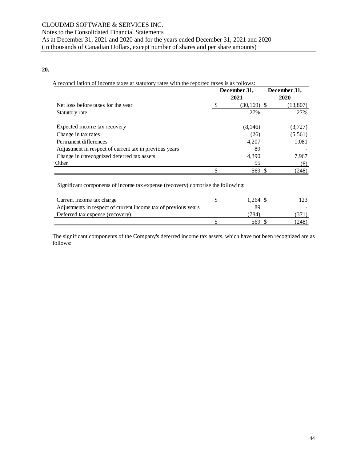## Notes to the Consolidated Financial Statements

As at December 31, 2021 and 2020 and for the years ended December 31, 2021 and 2020 (in thousands of Canadian Dollars, except number of shares and per share amounts)

## **20.**

A reconciliation of income taxes at statutory rates with the reported taxes is as follows:

|                                                        | December 31,<br>2021 | December 31,<br>2020 |
|--------------------------------------------------------|----------------------|----------------------|
| Net loss before taxes for the year                     | $(30,169)$ \$        | (13,807)             |
| Statutory rate                                         | 27%                  | 27%                  |
| Expected income tax recovery                           | (8,146)              | (3,727)              |
| Change in tax rates                                    | (26)                 | (5,561)              |
| Permanent differences                                  | 4,207                | 1,081                |
| Adjustment in respect of current tax in previous years | 89                   |                      |
| Change in unrecognized deferred tax assets             | 4,390                | 7,967                |
| Other                                                  | 55                   | (8)                  |
|                                                        | 569 \$               | (248)                |

| Current income tax charge                                      | $1.264$ \$ |       |
|----------------------------------------------------------------|------------|-------|
| Adjustments in respect of current income tax of previous years |            |       |
| Deferred tax expense (recovery)                                | 784)       |       |
|                                                                | 569.       | (248) |

The significant components of the Company's deferred income tax assets, which have not been recognized are as follows: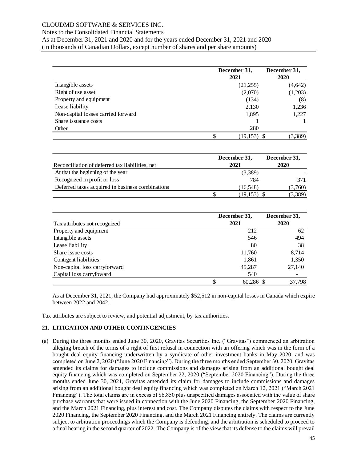## Notes to the Consolidated Financial Statements

As at December 31, 2021 and 2020 and for the years ended December 31, 2021 and 2020 (in thousands of Canadian Dollars, except number of shares and per share amounts)

|                                    | December 31,<br>2021 | December 31,<br>2020 |
|------------------------------------|----------------------|----------------------|
| Intangible assets                  | (21, 255)            | (4, 642)             |
| Right of use asset                 | (2,070)              | (1,203)              |
| Property and equipment             | (134)                | (8)                  |
| Lease liability                    | 2,130                | 1,236                |
| Non-capital losses carried forward | 1,895                | 1,227                |
| Share issuance costs               |                      |                      |
| Other                              | 280                  |                      |
|                                    | (19, 153)            | (3,389)              |

|                                                  | December 31, | December 31, |
|--------------------------------------------------|--------------|--------------|
| Reconciliation of deferred tax liabilities, net  | 2021         | 2020         |
| At that the beginning of the year                | (3,389)      |              |
| Recognized in profit or loss                     | 784          | 371          |
| Deferred taxes acquired in business combinations | (16, 548)    | (3,760)      |
|                                                  | 19,151       | (3,389)      |

| Tax attributes not recognized | December 31,<br>2021 |        |
|-------------------------------|----------------------|--------|
| Property and equipment        | 212                  | 62     |
| Intangible assets             | 546                  | 494    |
| Lease liability               | 80                   | 38     |
| Share issue costs             | 11,760               | 8,714  |
| Contigent liabilities         | 1,861                | 1,350  |
| Non-capital loss carryforward | 45,287               | 27,140 |
| Capital loss carryfoward      | 540                  |        |
|                               | 60,286 \$            | 37.798 |

As at December 31, 2021, the Company had approximately \$52,512 in non-capital losses in Canada which expire between 2022 and 2042.

Tax attributes are subject to review, and potential adjustment, by tax authorities.

## **21. LITIGATION AND OTHER CONTINGENCIES**

(a) During the three months ended June 30, 2020, Gravitas Securities Inc. ("Gravitas") commenced an arbitration alleging breach of the terms of a right of first refusal in connection with an offering which was in the form of a bought deal equity financing underwritten by a syndicate of other investment banks in May 2020, and was completed on June 2, 2020 ("June 2020 Financing"). During the three months ended September 30, 2020, Gravitas amended its claims for damages to include commissions and damages arising from an additional bought deal equity financing which was completed on September 22, 2020 ("September 2020 Financing"). During the three months ended June 30, 2021, Gravitas amended its claim for damages to include commissions and damages arising from an additional bought deal equity financing which was completed on March 12, 2021 ("March 2021 Financing"). The total claims are in excess of \$6,850 plus unspecified damages associated with the value of share purchase warrants that were issued in connection with the June 2020 Financing, the September 2020 Financing, and the March 2021 Financing, plus interest and cost. The Company disputes the claims with respect to the June 2020 Financing, the September 2020 Financing, and the March 2021 Financing entirely. The claims are currently subject to arbitration proceedings which the Company is defending, and the arbitration is scheduled to proceed to a final hearing in the second quarter of 2022. The Company is of the view that its defense to the claims will prevail